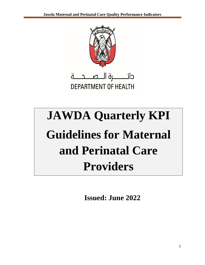

# **JAWDA Quarterly KPI Guidelines for Maternal and Perinatal Care Providers**

**Issued: June 2022**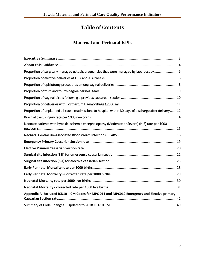# **Table of Contents**

# **Maternal and Perinatal KPIs**

| Proportion of surgically managed ectopic pregnancies that were managed by laparoscopy                    |
|----------------------------------------------------------------------------------------------------------|
|                                                                                                          |
|                                                                                                          |
|                                                                                                          |
|                                                                                                          |
|                                                                                                          |
| Proportion of unplanned all cause readmissions to hospital within 30 days of discharge after delivery 12 |
|                                                                                                          |
| Neonate patients with hypoxic-ischemic encephalopathy (Moderate or Severe) (HIE) rate per 1000           |
|                                                                                                          |
|                                                                                                          |
|                                                                                                          |
|                                                                                                          |
|                                                                                                          |
|                                                                                                          |
|                                                                                                          |
|                                                                                                          |
|                                                                                                          |
| Appendix A Excluded ICD10 - CM Codes for MPC 011 and MPC012 Emergency and Elective primary               |
|                                                                                                          |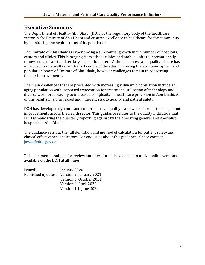# <span id="page-2-0"></span>**Executive Summary**

The Department of Health– Abu Dhabi (DOH) is the regulatory body of the healthcare sector in the Emirate of Abu Dhabi and ensures excellence in healthcare for the community by monitoring the health status of its population.

The Emirate of Abu Dhabi is experiencing a substantial growth in the number of hospitals, centers and clinics. This is ranging from school clinics and mobile units to internationally renowned specialist and tertiary academic centers. Although, access and quality of care has improved dramatically over the last couple of decades, mirroring the economic upturn and population boom of Emirate of Abu Dhabi, however challenges remain in addressing further improvements.

The main challenges that are presented with increasingly dynamic population include an aging population with increased expectation for treatment, utilization of technology and diverse workforce leading to increased complexity of healthcare provision in Abu Dhabi. All of this results in an increased and inherent risk to quality and patient safety.

DOH has developed dynamic and comprehensive quality framework in order to bring about improvements across the health sector. This guidance relates to the quality indicators that DOH is mandating the quarterly reporting against by the operating general and specialist hospitals in Abu Dhabi.

The guidance sets out the full definition and method of calculation for patient safety and clinical effectiveness indicators. For enquiries about this guidance, please contact [jawda@doh.gov.ae](mailto:jawda@doh.gov.ae)

This document is subject for review and therefore it is advisable to utilize online versions available on the DOH at all times.

| Issued:            | January 2020            |
|--------------------|-------------------------|
| Published updates: | Version 2, January 2021 |
|                    | Version 3, October 2021 |
|                    | Version 4, April 2022   |
|                    | Version 4.1, June 2022  |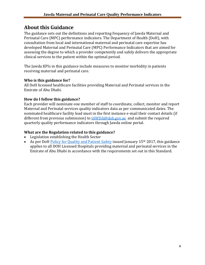# <span id="page-3-0"></span>**About this Guidance**

The guidance sets out the definitions and reporting frequency of Jawda Maternal and Perinatal Care (MPC) performance indicators. The Department of Health (DoH), with consultation from local and international maternal and perinatal care expertise has developed Maternal and Perinatal Care (MPC) Performance Indicators that are aimed for assessing the degree to which a provider competently and safely delivers the appropriate clinical services to the patient within the optimal period.

The Jawda KPIs in this guidance include measures to monitor morbidity in patients receiving maternal and perinatal care.

#### **Who is this guidance for?**

All DoH licensed healthcare facilities providing Maternal and Perinatal services in the Emirate of Abu Dhabi.

#### **How do I follow this guidance?**

Each provider will nominate one member of staff to coordinate, collect, monitor and report Maternal and Perinatal services quality indicators data as per communicated dates. The nominated healthcare facility lead must in the first instance e-mail their contact details (if different from previous submission) to [JAWDA@doh.gov.ae](mailto:JAWDA@doh.gov.ae/) and submit the required quarterly quality performance indicators through Jawda online portal.

#### **What are the Regulation related to this guidance?**

- Legislation establishing the Health Sector
- As per DoH [Policy for Quality and Patient Safety](https://www.haad.ae/HAAD/LinkClick.aspx?fileticket=Jrh93s-AyUA%3d&tabid=1276) issued January 15<sup>th</sup> 2017, this guidance applies to all DOH Licensed Hospitals providing maternal and perinatal services in the Emirate of Abu Dhabi in accordance with the requirements set out in this Standard.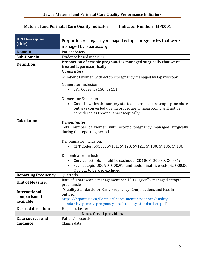<span id="page-4-0"></span>

| <b>KPI Description</b>      | Proportion of surgically managed ectopic pregnancies that were                                         |
|-----------------------------|--------------------------------------------------------------------------------------------------------|
| (title):                    | managed by laparoscopy                                                                                 |
| <b>Domain</b>               | <b>Patient Safety</b>                                                                                  |
| Sub-Domain                  | Evidence based medicine                                                                                |
|                             | Proportion of ectopic pregnancies managed surgically that were                                         |
| <b>Definition:</b>          | treated laparoscopically                                                                               |
|                             | <b>Numerator:</b>                                                                                      |
|                             | Number of women with ectopic pregnancy managed by laparoscopy                                          |
|                             | Numerator Inclusion:                                                                                   |
|                             | CPT Codes: 59150; 59151.<br>$\bullet$                                                                  |
|                             | <b>Numerator Exclusion</b>                                                                             |
|                             | Cases in which the surgery started out as a laparoscopic procedure                                     |
|                             | but was converted during procedure to laparotomy will not be<br>considered as treated laparoscopically |
|                             |                                                                                                        |
| <b>Calculation:</b>         | Denominator:                                                                                           |
|                             | Total number of women with ectopic pregnancy managed surgically                                        |
|                             | during the reporting period.                                                                           |
|                             | Denominator inclusion:                                                                                 |
|                             | CPT Codes: 59150; 59151; 59120; 59121; 59130; 59135; 59136                                             |
|                             | Denominator exclusion:                                                                                 |
|                             | Cervical ectopic should be excluded ICD10CM 000.80, 000.81;                                            |
|                             | Scar ectopic 000.90, 000.91; and abdominal live ectopic 000.00,<br>$\bullet$                           |
|                             | 000.01; to be also excluded                                                                            |
| <b>Reporting Frequency:</b> | Quarterly                                                                                              |
| <b>Unit of Measure:</b>     | Rate of laparoscopic management per 100 surgically managed ectopic                                     |
|                             | pregnancies.                                                                                           |
| International               | "Quality Standards for Early Pregnancy Complications and loss in                                       |
| comparison if               | ontario:                                                                                               |
| available                   | https://hgontario.ca/Portals/0/documents/evidence/quality-                                             |
|                             | standards/qs-early-pregnancy-draft-quality-standard-en.pdf"                                            |
| <b>Desired direction:</b>   | Higher is better                                                                                       |
|                             | <b>Notes for all providers</b><br>Patient's records                                                    |
| Data sources and            | Claims data                                                                                            |
| guidance:                   |                                                                                                        |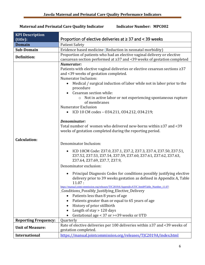<span id="page-5-0"></span>

| <b>KPI Description</b>      |                                                                                                                                                                                                                                                                                                                                                                                                                                                                                                                                                                                                                                                                                                                                                                                                                                                                                                                                                                                                                                                                                                                                                                                                                                                                                                                                                                                                                           |
|-----------------------------|---------------------------------------------------------------------------------------------------------------------------------------------------------------------------------------------------------------------------------------------------------------------------------------------------------------------------------------------------------------------------------------------------------------------------------------------------------------------------------------------------------------------------------------------------------------------------------------------------------------------------------------------------------------------------------------------------------------------------------------------------------------------------------------------------------------------------------------------------------------------------------------------------------------------------------------------------------------------------------------------------------------------------------------------------------------------------------------------------------------------------------------------------------------------------------------------------------------------------------------------------------------------------------------------------------------------------------------------------------------------------------------------------------------------------|
| (title):                    | Proportion of elective deliveries at $\geq$ 37 and < 39 weeks                                                                                                                                                                                                                                                                                                                                                                                                                                                                                                                                                                                                                                                                                                                                                                                                                                                                                                                                                                                                                                                                                                                                                                                                                                                                                                                                                             |
| <b>Domain</b>               | <b>Patient Safety</b>                                                                                                                                                                                                                                                                                                                                                                                                                                                                                                                                                                                                                                                                                                                                                                                                                                                                                                                                                                                                                                                                                                                                                                                                                                                                                                                                                                                                     |
| Sub-Domain                  | Evidence based medicine (Reduction in neonatal morbidity)                                                                                                                                                                                                                                                                                                                                                                                                                                                                                                                                                                                                                                                                                                                                                                                                                                                                                                                                                                                                                                                                                                                                                                                                                                                                                                                                                                 |
| Definition:                 | Proportion of patients who had an elective vaginal delivery or elective<br>caesarean section performed at ≥37 and <39 weeks of gestation completed                                                                                                                                                                                                                                                                                                                                                                                                                                                                                                                                                                                                                                                                                                                                                                                                                                                                                                                                                                                                                                                                                                                                                                                                                                                                        |
| <b>Calculation:</b>         | <b>Numerator:</b><br>Patients with elective vaginal deliveries or elective cesarean sections ≥37<br>and <39 weeks of gestation completed.<br>Numerator Inclusion:<br>Medical / surgical induction of labor while not in labor prior to the<br>$\bullet$<br>procedure<br>Cesarean section while:<br>• Not in active labor or not experiencing spontaneous rupture<br>of membranes<br><b>Numerator Exclusion</b><br>ICD 10 CM codes - 034.211, 034.212, 034.219;<br>$\bullet$<br>Denominator:<br>Total number of women who delivered new-borns within $\geq$ 37 and <39<br>weeks of gestation completed during the reporting period.<br>Denominator Inclusion:<br>ICD 10CM Code: Z37.0, Z37.1, Z37.2, Z37.3, Z37.4, Z37.50, Z37.51,<br>$\bullet$<br>Z37.52, Z37.53, Z37.54, Z37.59, Z37.60, Z37.61, Z37.62, Z37.63,<br>Z37.64, Z37.69, Z37.7, Z37.9,<br>Denominator exclusion:<br>Principal Diagnosis Codes for conditions possibly justifying elective<br>$\bullet$<br>delivery prior to 39 weeks gestation as defined in Appendix A, Table<br>11.07:<br>https://manual.jointcommission.org/releases/TJC2019A/AppendixATJC.html#Table_Number_11.07:<br>_Conditions_Possibly_Justifying_Elective_Delivery<br>Patients less than 8 years of age<br>$\bullet$<br>Patients greater than or equal to 65 years of age<br>History of prior stillbirth<br>Length of stay $> 120$ days<br>Gestational age < 37 or >=39 weeks or UTD |
| <b>Reporting Frequency:</b> | Quarterly                                                                                                                                                                                                                                                                                                                                                                                                                                                                                                                                                                                                                                                                                                                                                                                                                                                                                                                                                                                                                                                                                                                                                                                                                                                                                                                                                                                                                 |
| <b>Unit of Measure:</b>     | Rate of elective deliveries per 100 deliveries within ≥37 and <39 weeks of<br>gestation completed.                                                                                                                                                                                                                                                                                                                                                                                                                                                                                                                                                                                                                                                                                                                                                                                                                                                                                                                                                                                                                                                                                                                                                                                                                                                                                                                        |
| <b>International</b>        | https://manual.jointcommission.org/releases/TJC2019A/index.html                                                                                                                                                                                                                                                                                                                                                                                                                                                                                                                                                                                                                                                                                                                                                                                                                                                                                                                                                                                                                                                                                                                                                                                                                                                                                                                                                           |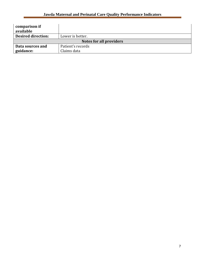F

| comparison if<br>available     |                   |
|--------------------------------|-------------------|
| <b>Desired direction:</b>      | Lower is better.  |
| <b>Notes for all providers</b> |                   |
| Data sources and               | Patient's records |
| guidance:                      | Claims data       |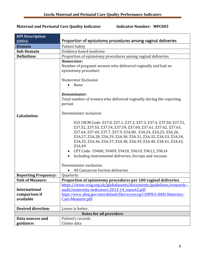<span id="page-7-0"></span>

| <b>KPI Description</b>                             |                                                                                                                                                                                                                                                                                                                                                                                                                                                                                                                                                                                                                                                                                                                                                                                                                                           |
|----------------------------------------------------|-------------------------------------------------------------------------------------------------------------------------------------------------------------------------------------------------------------------------------------------------------------------------------------------------------------------------------------------------------------------------------------------------------------------------------------------------------------------------------------------------------------------------------------------------------------------------------------------------------------------------------------------------------------------------------------------------------------------------------------------------------------------------------------------------------------------------------------------|
| (title):                                           | Proportion of episiotomy procedures among vaginal deliveries                                                                                                                                                                                                                                                                                                                                                                                                                                                                                                                                                                                                                                                                                                                                                                              |
| <b>Domain</b>                                      | <b>Patient Safety</b>                                                                                                                                                                                                                                                                                                                                                                                                                                                                                                                                                                                                                                                                                                                                                                                                                     |
| Sub-Domain                                         | Evidence based medicine                                                                                                                                                                                                                                                                                                                                                                                                                                                                                                                                                                                                                                                                                                                                                                                                                   |
| <b>Definition:</b>                                 | Proportion of episiotomy procedures among vaginal deliveries                                                                                                                                                                                                                                                                                                                                                                                                                                                                                                                                                                                                                                                                                                                                                                              |
| <b>Calculation:</b>                                | <b>Numerator:</b><br>Number of pregnant women who delivered vaginally and had an<br>episiotomy procedure<br><b>Numerator Exclusion</b><br>None<br>Denominator:<br>Total number of women who delivered vaginally during the reporting<br>period.<br>Denominator inclusion:<br>ICD 10CM Code: Z37.0, Z37.1, Z37.2, Z37.3, Z37.4, Z37.50, Z37.51,<br>Z37.52, Z37.53, Z37.54, Z37.59, Z37.60, Z37.61, Z37.62, Z37.63,<br>Z37.64, Z37.69, Z37.7, Z37.9, Z3A.00, Z3A.24, Z3A.25, Z3A.26,<br>Z3A.27, Z3A.28, Z3A.29, Z3A.30, Z3A.31, Z3A.32, Z3A.33, Z3A.34,<br>Z3A.35, Z3A.36, Z3A.37, Z3A.38, Z3A.39, Z3A.40, Z3A.41, Z3A.42,<br>Z3A.49<br>CPT Code- 59400, 59409, 59410, 59610, 59612, 59614<br>$\bullet$<br>Including instrumental deliveries, forceps-and vacuum<br>$\bullet$<br>Denominator exclusion:<br>All Caesarean Section deliveries |
| <b>Reporting Frequency:</b>                        | Quarterly                                                                                                                                                                                                                                                                                                                                                                                                                                                                                                                                                                                                                                                                                                                                                                                                                                 |
| <b>Unit of Measure:</b>                            | Proportion of episiotomy procedures per 100 vaginal deliveries                                                                                                                                                                                                                                                                                                                                                                                                                                                                                                                                                                                                                                                                                                                                                                            |
| <b>International</b><br>comparison if<br>available | https://www.rcog.org.uk/globalassets/documents/guidelines/research--<br>audit/maternity-indicators-2013-14 report2.pdf<br>https://www.ahrq.gov/sites/default/files/wysiwyg/CHIPRA-BMI-Maternity-<br>Care-Measures.pdf                                                                                                                                                                                                                                                                                                                                                                                                                                                                                                                                                                                                                     |
| <b>Desired direction:</b>                          | Lower is better.                                                                                                                                                                                                                                                                                                                                                                                                                                                                                                                                                                                                                                                                                                                                                                                                                          |
|                                                    | <b>Notes for all providers</b>                                                                                                                                                                                                                                                                                                                                                                                                                                                                                                                                                                                                                                                                                                                                                                                                            |
| Data sources and                                   | Patient's records                                                                                                                                                                                                                                                                                                                                                                                                                                                                                                                                                                                                                                                                                                                                                                                                                         |
| guidance:                                          | Claims data                                                                                                                                                                                                                                                                                                                                                                                                                                                                                                                                                                                                                                                                                                                                                                                                                               |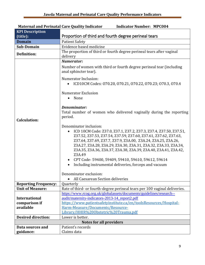<span id="page-8-0"></span>

| <b>KPI</b> Description         | $\sim$ commutate can be $\chi$ and $\chi$ and $\chi$                                          |
|--------------------------------|-----------------------------------------------------------------------------------------------|
| (title):                       | Proportion of third and fourth degree perineal tears                                          |
| <b>Domain</b>                  | <b>Patient Safety</b>                                                                         |
| Sub-Domain                     | Evidence based medicine                                                                       |
|                                |                                                                                               |
| Definition:                    | The proportion of third or fourth degree perineal tears after vaginal                         |
|                                | delivery                                                                                      |
|                                | <b>Numerator:</b>                                                                             |
|                                | Number of women with third or fourth degree perineal tear (including<br>anal sphincter tear). |
|                                | Numerator Inclusion:                                                                          |
|                                | • ICD10CM Codes: 070.20, 070.21, 070.22, 070.23; 070.3, 070.4                                 |
|                                | <b>Numerator Exclusion</b>                                                                    |
|                                | None                                                                                          |
|                                | Denominator:                                                                                  |
|                                | Total number of women who delivered vaginally during the reporting                            |
|                                | period.                                                                                       |
| <b>Calculation:</b>            |                                                                                               |
|                                | Denominator inclusion:                                                                        |
|                                | ICD 10CM Code: Z37.0, Z37.1, Z37.2, Z37.3, Z37.4, Z37.50, Z37.51,<br>$\bullet$                |
|                                | Z37.52, Z37.53, Z37.54, Z37.59, Z37.60, Z37.61, Z37.62, Z37.63,                               |
|                                | Z37.64, Z37.69, Z37.7, Z37.9, Z3A.00, Z3A.24, Z3A.25, Z3A.26,                                 |
|                                | Z3A.27, Z3A.28, Z3A.29, Z3A.30, Z3A.31, Z3A.32, Z3A.33, Z3A.34,                               |
|                                | Z3A.35, Z3A.36, Z3A.37, Z3A.38, Z3A.39, Z3A.40, Z3A.41, Z3A.42,                               |
|                                | Z3A.49                                                                                        |
|                                | CPT Code- 59400, 59409, 59410, 59610, 59612, 59614                                            |
|                                | Including instrumental deliveries, forceps and vacuum<br>$\bullet$                            |
|                                |                                                                                               |
|                                | Denominator exclusion:                                                                        |
|                                | All Caesarean Section deliveries                                                              |
| <b>Reporting Frequency:</b>    | Quarterly                                                                                     |
| <b>Unit of Measure:</b>        | Rate of third- or fourth-degree perineal tears per 100 vaginal deliveries.                    |
|                                | https://www.rcog.org.uk/globalassets/documents/guidelines/research--                          |
| <b>International</b>           | audit/maternity-indicators-2013-14_report2.pdf                                                |
| comparison if                  | https://www.patientsafetyinstitute.ca/en/toolsResources/Hospital-                             |
| available                      | Harm-Measure/Documents/Resource-                                                              |
|                                | Library/HHIR%200bstetric%20Trauma.pdf                                                         |
| <b>Desired direction:</b>      | Lower is better.                                                                              |
| <b>Notes for all providers</b> |                                                                                               |
| Data sources and               | Patient's records                                                                             |
| guidance:                      | Claims data                                                                                   |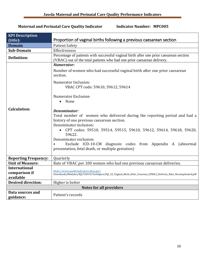<span id="page-9-0"></span>

| <b>KPI Description</b>        |                                                                                                                                                                  |
|-------------------------------|------------------------------------------------------------------------------------------------------------------------------------------------------------------|
| (title):                      | Proportion of vaginal births following a previous caesarean section                                                                                              |
| <b>Domain</b>                 | <b>Patient Safety</b>                                                                                                                                            |
| Sub-Domain                    | Effectiveness                                                                                                                                                    |
| <b>Definition:</b>            | Percentage of patients with successful vaginal birth after one prior caesarean section<br>(VBAC) out of the total patients who had one prior caesarean delivery. |
|                               | <b>Numerator:</b>                                                                                                                                                |
|                               | Number of women who had successful vaginal birth after one prior caesarean<br>section.                                                                           |
|                               | Numerator Inclusion:<br>VBAC CPT code: 59610, 59612, 59614                                                                                                       |
|                               | <b>Numerator Exclusion</b><br>• None                                                                                                                             |
| <b>Calculation:</b>           | Denominator:                                                                                                                                                     |
|                               | Total number of women who delivered during the reporting period and had a<br>history of one previous caesarean section.                                          |
|                               | Denominator inclusion:<br>CPT codes: 59510, 59514, 59515, 59610, 59612, 59614, 59618, 59620,<br>$\bullet$<br>59622.                                              |
|                               | Denominator exclusion:                                                                                                                                           |
|                               | Exclude ICD-10-CM diagnosis codes from Appendix A (abnormal<br>presentation, fetal death, or multiple gestation)                                                 |
| <b>Reporting Frequency:</b>   | Quarterly                                                                                                                                                        |
| <b>Unit of Measure:</b>       | Rate of VBAC per 100 women who had one previous caesarean deliveries.                                                                                            |
| <b>International</b>          |                                                                                                                                                                  |
| comparison if<br>available    | https://www.qualityindicators.ahrg.gov/<br>Downloads/Modules/IQI/V2019/TechSpecs/IQI_22_Vaginal_Birth_After_Cesarean_(VBAC)_Delivery_Rate_Uncomplicated.pdf      |
| <b>Desired direction:</b>     | Higher is better                                                                                                                                                 |
|                               | <b>Notes for all providers</b>                                                                                                                                   |
| Data sources and<br>guidance: | Patient's records                                                                                                                                                |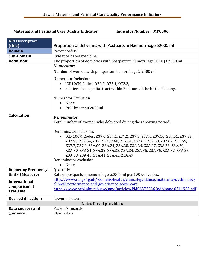<span id="page-10-0"></span>

| <b>KPI Description</b>      |                                                                                                                                                                                                                                                                                                                                                                                                                   |
|-----------------------------|-------------------------------------------------------------------------------------------------------------------------------------------------------------------------------------------------------------------------------------------------------------------------------------------------------------------------------------------------------------------------------------------------------------------|
| (title):                    | Proportion of deliveries with Postpartum Haemorrhage ≥2000 ml                                                                                                                                                                                                                                                                                                                                                     |
| <b>Domain</b>               | <b>Patient Safety</b>                                                                                                                                                                                                                                                                                                                                                                                             |
| Sub-Domain                  | Evidence based medicine                                                                                                                                                                                                                                                                                                                                                                                           |
| <b>Definition:</b>          | The proportion of deliveries with postpartum hemorrhage (PPH) $\geq$ 2000 ml                                                                                                                                                                                                                                                                                                                                      |
|                             | <b>Numerator:</b>                                                                                                                                                                                                                                                                                                                                                                                                 |
|                             | Number of women with postpartum hemorrhage $\geq 2000$ ml                                                                                                                                                                                                                                                                                                                                                         |
|                             | Numerator Inclusion:                                                                                                                                                                                                                                                                                                                                                                                              |
|                             | ICD10CM Codes: 072.0, 072.1, 072.2,                                                                                                                                                                                                                                                                                                                                                                               |
|                             | $\geq$ 2 liters from genital tract within 24 hours of the birth of a baby.                                                                                                                                                                                                                                                                                                                                        |
|                             | <b>Numerator Exclusion</b>                                                                                                                                                                                                                                                                                                                                                                                        |
|                             | None                                                                                                                                                                                                                                                                                                                                                                                                              |
|                             | PPH less than 2000ml                                                                                                                                                                                                                                                                                                                                                                                              |
| <b>Calculation:</b>         | <b>Denominator:</b><br>Total number of women who delivered during the reporting period.                                                                                                                                                                                                                                                                                                                           |
|                             | Denominator inclusion:<br>ICD 10CM Codes: Z37.0, Z37.1, Z37.2, Z37.3, Z37.4, Z37.50, Z37.51, Z37.52,<br>Z37.53, Z37.54, Z37.59, Z37.60, Z37.61, Z37.62, Z37.63, Z37.64, Z37.69,<br>Z37.7, Z37.9, Z3A.00, Z3A.24, Z3A.25, Z3A.26, Z3A.27, Z3A.28, Z3A.29,<br>Z3A.30, Z3A.31, Z3A.32, Z3A.33, Z3A.34, Z3A.35, Z3A.36, Z3A.37, Z3A.38,<br>Z3A.39, Z3A.40, Z3A.41, Z3A.42, Z3A.49<br>Denominator exclusion:<br>• None |
| <b>Reporting Frequency:</b> | Quarterly                                                                                                                                                                                                                                                                                                                                                                                                         |
| <b>Unit of Measure:</b>     | Rate of postpartum hemorrhage ≥2000 ml per 100 deliveries.                                                                                                                                                                                                                                                                                                                                                        |
| <b>International</b>        | http://www.rcog.org.uk/womens-health/clinical-guidance/maternity-dashboard-<br>clinical-performance-and-governance-score-card                                                                                                                                                                                                                                                                                     |
| comparison if<br>available  | https://www.ncbi.nlm.nih.gov/pmc/articles/PMC6372226/pdf/pone.0211955.pdf                                                                                                                                                                                                                                                                                                                                         |
| <b>Desired direction:</b>   | Lower is better.                                                                                                                                                                                                                                                                                                                                                                                                  |
|                             | <b>Notes for all providers</b>                                                                                                                                                                                                                                                                                                                                                                                    |
| Data sources and            | Patient's records                                                                                                                                                                                                                                                                                                                                                                                                 |
| guidance:                   | Claims data                                                                                                                                                                                                                                                                                                                                                                                                       |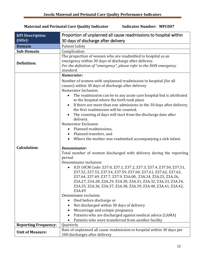<span id="page-11-0"></span>

| <b>KPI Description</b>      | Proportion of unplanned all cause readmissions to hospital within                                                                                                                                                                                                                                                                                                                                                                                                                                                                                                                                                                                                                                                                             |
|-----------------------------|-----------------------------------------------------------------------------------------------------------------------------------------------------------------------------------------------------------------------------------------------------------------------------------------------------------------------------------------------------------------------------------------------------------------------------------------------------------------------------------------------------------------------------------------------------------------------------------------------------------------------------------------------------------------------------------------------------------------------------------------------|
| (title):                    | 30 days of discharge after delivery                                                                                                                                                                                                                                                                                                                                                                                                                                                                                                                                                                                                                                                                                                           |
| <b>Domain</b>               | <b>Patient Safety</b>                                                                                                                                                                                                                                                                                                                                                                                                                                                                                                                                                                                                                                                                                                                         |
| Sub-Domain                  | Complication                                                                                                                                                                                                                                                                                                                                                                                                                                                                                                                                                                                                                                                                                                                                  |
| <b>Definition:</b>          | The proportion of women who are readmitted to hospital as an<br>emergency within 30 days of discharge after delivery.<br>For the definition of "emergency", please refer to the DOH emergency<br>standard.<br><b>Numerator:</b>                                                                                                                                                                                                                                                                                                                                                                                                                                                                                                               |
|                             | Number of women with unplanned readmission to hospital (for all<br>causes) within 30 days of discharge after delivery<br>Numerator Inclusion:<br>The readmission can be to any acute care hospital but is attributed<br>$\bullet$<br>to the hospital where the birth took place<br>If there are more than one admissions in the 30 days after delivery,<br>the first readmission will be counted.<br>The counting of days will start from the discharge date after<br>delivery.<br><b>Numerator Exclusion</b><br>Planned readmissions,<br>Planned transfers, and<br>Where the mother was readmitted accompanying a sick infant.                                                                                                               |
| <b>Calculation:</b>         | Denominator:<br>Total number of women discharged with delivery during the reporting<br>period.<br>Denominator inclusion:<br>ICD 10CM Code: Z37.0, Z37.1, Z37.2, Z37.3, Z37.4, Z37.50, Z37.51,<br>Z37.52, Z37.53, Z37.54, Z37.59, Z37.60, Z37.61, Z37.62, Z37.63,<br>Z37.64, Z37.69, Z37.7, Z37.9, Z3A.00, Z3A.24, Z3A.25, Z3A.26,<br>Z3A.27, Z3A.28, Z3A.29, Z3A.30, Z3A.31, Z3A.32, Z3A.33, Z3A.34,<br>Z3A.35, Z3A.36, Z3A.37, Z3A.38, Z3A.39, Z3A.40, Z3A.41, Z3A.42,<br>Z3A.49<br>Denominator exclusion:<br>Died before discharge or<br>Not discharged within 30 days of delivery<br>Miscarriage and ectopic pregnancy<br>Patients who are discharged against medical advice (LAMA)<br>Patients who were transferred from another facility |
| <b>Reporting Frequency:</b> | Quarterly                                                                                                                                                                                                                                                                                                                                                                                                                                                                                                                                                                                                                                                                                                                                     |
|                             | Rate of unplanned all cause readmission to hospital within 30 days per                                                                                                                                                                                                                                                                                                                                                                                                                                                                                                                                                                                                                                                                        |
| <b>Unit of Measure:</b>     | 100 discharges after delivery.                                                                                                                                                                                                                                                                                                                                                                                                                                                                                                                                                                                                                                                                                                                |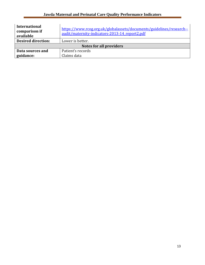| <b>International</b><br>comparison if<br>available | https://www.rcog.org.uk/globalassets/documents/guidelines/research--<br>audit/maternity-indicators-2013-14 report2.pdf |  |
|----------------------------------------------------|------------------------------------------------------------------------------------------------------------------------|--|
| <b>Desired direction:</b>                          | Lower is better.                                                                                                       |  |
| <b>Notes for all providers</b>                     |                                                                                                                        |  |
| Data sources and                                   | Patient's records                                                                                                      |  |
| guidance:                                          | Claims data                                                                                                            |  |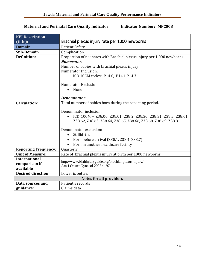<span id="page-13-0"></span>

| <b>KPI Description</b>                             |                                                                                                                                                                                                                                                                                                                                                                                                                                                                                                                                                                   |
|----------------------------------------------------|-------------------------------------------------------------------------------------------------------------------------------------------------------------------------------------------------------------------------------------------------------------------------------------------------------------------------------------------------------------------------------------------------------------------------------------------------------------------------------------------------------------------------------------------------------------------|
| (title):                                           | Brachial plexus injury rate per 1000 newborns                                                                                                                                                                                                                                                                                                                                                                                                                                                                                                                     |
| <b>Domain</b>                                      | <b>Patient Safety</b>                                                                                                                                                                                                                                                                                                                                                                                                                                                                                                                                             |
| <b>Sub-Domain</b>                                  | Complication                                                                                                                                                                                                                                                                                                                                                                                                                                                                                                                                                      |
| <b>Definition:</b>                                 | Proportion of neonates with Brachial plexus injury per 1,000 newborns.                                                                                                                                                                                                                                                                                                                                                                                                                                                                                            |
| <b>Calculation:</b>                                | <b>Numerator:</b><br>Number of babies with brachial plexus injury<br>Numerator Inclusion:<br>ICD 10CM codes: P14.0, P14.1 P14.3<br>Numerator Exclusion<br>None<br>$\bullet$<br>Denominator:<br>Total number of babies born during the reporting period.<br>Denominator inclusion:<br>ICD 10CM - Z38.00, Z38.01, Z38.2, Z38.30, Z38.31, Z38.5, Z38.61,<br>Z38.62, Z38.63, Z38.64, Z38.65, Z38.66, Z38.68, Z38.69, Z38.8.<br>Denominator exclusion:<br>Stillbirths<br>$\bullet$<br>Born before arrival (Z38.1, Z38.4, Z38.7)<br>Born in another healthcare facility |
| <b>Reporting Frequency:</b>                        | Quarterly                                                                                                                                                                                                                                                                                                                                                                                                                                                                                                                                                         |
| <b>Unit of Measure:</b>                            | Rate of brachial plexus injury at birth per 1000 newborns                                                                                                                                                                                                                                                                                                                                                                                                                                                                                                         |
| <b>International</b><br>comparison if<br>available | http://www.birthinjuryguide.org/brachial-plexus-injury/<br>Am J Obstet Gynecol 2007: 197                                                                                                                                                                                                                                                                                                                                                                                                                                                                          |
| <b>Desired direction:</b>                          | Lower is better.                                                                                                                                                                                                                                                                                                                                                                                                                                                                                                                                                  |
|                                                    | <b>Notes for all providers</b>                                                                                                                                                                                                                                                                                                                                                                                                                                                                                                                                    |
| Data sources and                                   | Patient's records                                                                                                                                                                                                                                                                                                                                                                                                                                                                                                                                                 |
| guidance:                                          | Claims data                                                                                                                                                                                                                                                                                                                                                                                                                                                                                                                                                       |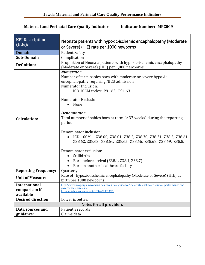<span id="page-14-0"></span>

| <b>KPI Description</b>      |                                                                                                      |
|-----------------------------|------------------------------------------------------------------------------------------------------|
| (title):                    | Neonate patients with hypoxic-ischemic encephalopathy (Moderate                                      |
|                             | or Severe) (HIE) rate per 1000 newborns                                                              |
| <b>Domain</b>               | <b>Patient Safety</b>                                                                                |
| <b>Sub-Domain</b>           | Complication                                                                                         |
| <b>Definition:</b>          | Proportion of Neonate patients with hypoxic-ischemic encephalopathy                                  |
|                             | (Moderate or Severe) (HIE) per 1,000 newborns.                                                       |
|                             | <b>Numerator:</b>                                                                                    |
|                             | Number of term babies born with moderate or severe hypoxic                                           |
|                             | encephalopathy requiring NICU admission                                                              |
|                             | Numerator Inclusion:                                                                                 |
|                             | ICD 10CM codes: P91.62, P91.63                                                                       |
|                             | <b>Numerator Exclusion</b>                                                                           |
|                             | None                                                                                                 |
|                             |                                                                                                      |
|                             | <b>Denominator:</b>                                                                                  |
| <b>Calculation:</b>         | Total number of babies born at term ( $\geq$ 37 weeks) during the reporting                          |
|                             | period.                                                                                              |
|                             |                                                                                                      |
|                             | Denominator inclusion:                                                                               |
|                             | ICD 10CM - Z38.00, Z38.01, Z38.2, Z38.30, Z38.31, Z38.5, Z38.61,                                     |
|                             | Z38.62, Z38.63, Z38.64, Z38.65, Z38.66, Z38.68, Z38.69, Z38.8.                                       |
|                             | Denominator exclusion:                                                                               |
|                             | Stillbirths<br>$\bullet$                                                                             |
|                             | Born before arrival (Z38.1, Z38.4, Z38.7)                                                            |
|                             | Born in another healthcare facility                                                                  |
| <b>Reporting Frequency:</b> | Quarterly                                                                                            |
|                             | Rate of hypoxic-ischemic encephalopathy (Moderate or Severe) (HIE) at                                |
| <b>Unit of Measure:</b>     | birth per 1000 newborns                                                                              |
| <b>International</b>        | http://www.rcog.org.uk/womens-health/clinical-guidance/maternity-dashboard-clinical-performance-and- |
| comparison if               | governance-score-card<br>https://fn.bmj.com/content/103/4/F301#T3                                    |
| available                   |                                                                                                      |
| <b>Desired direction:</b>   | Lower is better.                                                                                     |
|                             | <b>Notes for all providers</b>                                                                       |
| Data sources and            | Patient's records                                                                                    |
| guidance:                   | Claims data                                                                                          |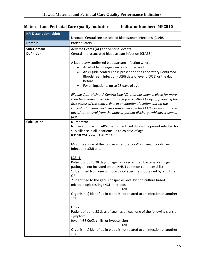٦

<span id="page-15-0"></span>

| <b>KPI Description (title):</b> | Neonatal Central line-associated Bloodstream Infections (CLABSI)                                                                                                                                                                                                                                                                                                                                |
|---------------------------------|-------------------------------------------------------------------------------------------------------------------------------------------------------------------------------------------------------------------------------------------------------------------------------------------------------------------------------------------------------------------------------------------------|
| <b>Domain</b>                   | <b>Patient Safety</b>                                                                                                                                                                                                                                                                                                                                                                           |
| <b>Sub-Domain</b>               | Adverse Events (AE) and Sentinel events                                                                                                                                                                                                                                                                                                                                                         |
| <b>Definition:</b>              | Central line-associated bloodstream infection (CLABSI):<br>A laboratory confirmed bloodstream infection where<br>An eligible BSI organism is identified and                                                                                                                                                                                                                                     |
|                                 | An eligible central line is present on the Laboratory Confirmed<br>$\bullet$<br>Bloodstream Infection (LCBI) date of event (DOE) or the day<br>before<br>For all inpatients up to 28 days of age<br>$\bullet$                                                                                                                                                                                   |
|                                 | Eligible Central Line: A Central Line (CL) that has been in place for more<br>than two consecutive calendar days (on or after CL day 3), following the<br>first access of the central line, in an inpatient location, during the<br>current admission. Such lines remain eligible for CLABSI events until the<br>day after removal from the body or patient discharge whichever comes<br>first. |
| <b>Calculation:</b>             | <b>Numerator</b><br>Numerator: Each CLABSI that is identified during the period selected for<br>surveillance in all inpatients up to 28 days of age.<br>ICD 10 CM code: T80.211A                                                                                                                                                                                                                |
|                                 | Must meet one of the following Laboratory-Confirmed Bloodstream<br>Infection (LCBI) criteria:                                                                                                                                                                                                                                                                                                   |
|                                 | LCBI 1:<br>Patient of up to 28 days of age has a recognized bacterial or fungal<br>pathogen, not included on the NHSN common commensal list:<br>1. Identified from one or more blood specimens obtained by a culture<br><b>OR</b><br>2. Identified to the genus or species level by non-culture based<br>microbiologic testing (NCT) methods.                                                   |
|                                 | <b>AND</b><br>Organism(s) identified in blood is not related to an infection at another<br>site.                                                                                                                                                                                                                                                                                                |
|                                 | <u>LCBI2:</u><br>Patient of up to 28 days of age has at least one of the following signs or<br>symptoms:<br>fever (>38.0oC), chills, or hypotension<br><b>AND</b>                                                                                                                                                                                                                               |
|                                 | Organism(s) identified in blood is not related to an infection at another<br>site                                                                                                                                                                                                                                                                                                               |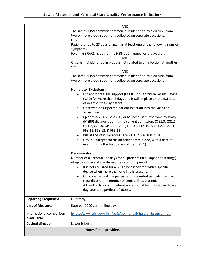|                                                 | <b>AND</b>                                                                                                                                                                                                                             |
|-------------------------------------------------|----------------------------------------------------------------------------------------------------------------------------------------------------------------------------------------------------------------------------------------|
|                                                 | The same NHSN common commensal is identified by a culture, from                                                                                                                                                                        |
|                                                 | two or more blood specimens collected on separate occasions.                                                                                                                                                                           |
|                                                 | LCBI3:                                                                                                                                                                                                                                 |
|                                                 | Patient of up to 28 days of age has at least one of the following signs or<br>symptoms:                                                                                                                                                |
|                                                 | fever (>38.0oC), hypothermia (<36.0oC), apnea, or bradycardia<br><b>AND</b>                                                                                                                                                            |
|                                                 | Organism(s) identified in blood is not related to an infection at another<br>site                                                                                                                                                      |
|                                                 | <b>AND</b>                                                                                                                                                                                                                             |
|                                                 | The same NHSN common commensal is identified by a culture, from<br>two or more blood specimens collected on separate occasions                                                                                                         |
|                                                 | <b>Numerator Exclusions:</b>                                                                                                                                                                                                           |
|                                                 | Extracorporeal life support (ECMO) or Ventricular Assist Device<br>(VAD) for more than 2 days and is still in place on the BSI date<br>of event or the day before.                                                                     |
|                                                 | Observed or suspected patient injection into the vascular<br>$\bullet$<br>access line                                                                                                                                                  |
|                                                 | Epidermolysis bullosa (EB) or Munchausen Syndrome by Proxy<br>$\bullet$<br>(MSBP) diagnosis during the current admission. (Q81.0, Q81.1,<br>Q81.2, Q81.8, Q81.9, L12.30, L12.31, L12.35, & L51.2, F68.10,<br>F68.11, F68.12, & F68.13) |
|                                                 | Pus at the vascular access site - T80.212A, T80.219A<br>$\bullet$                                                                                                                                                                      |
|                                                 | Group B Streptococcus identified from blood, with a date of<br>$\bullet$<br>event during the first 6 days of life (B95.1)                                                                                                              |
|                                                 | Denominator:                                                                                                                                                                                                                           |
|                                                 | Number of all central line days for all patients (in all inpatient settings)                                                                                                                                                           |
|                                                 | of up to 28 days of age during the reporting period.<br>It is not required for a BSI to be associated with a specific                                                                                                                  |
|                                                 | device when more than one line is present.                                                                                                                                                                                             |
|                                                 | Only one central line per patient is counted per calendar day<br>$\bullet$                                                                                                                                                             |
|                                                 | regardless of the number of central lines present.                                                                                                                                                                                     |
|                                                 | All central lines on inpatient units should be included in device                                                                                                                                                                      |
|                                                 | day counts regardless of access.                                                                                                                                                                                                       |
|                                                 |                                                                                                                                                                                                                                        |
| <b>Reporting Frequency:</b>                     | Quarterly                                                                                                                                                                                                                              |
| <b>Unit of Measure:</b>                         | Rate per 1000 central line days                                                                                                                                                                                                        |
| <b>International comparison</b><br>if available | https://www.cdc.gov/nhsn/pdfs/pscmanual/4psc_clabscurrent.pdf                                                                                                                                                                          |
| <b>Desired direction:</b>                       | Lower is better                                                                                                                                                                                                                        |
| <b>Notes for all providers</b>                  |                                                                                                                                                                                                                                        |
|                                                 |                                                                                                                                                                                                                                        |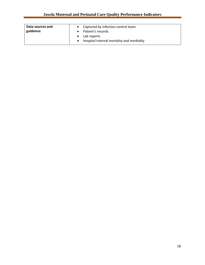| Data sources and | • Captured by infection control team                                 |
|------------------|----------------------------------------------------------------------|
| guidance:        | • Patient's records                                                  |
|                  | $\bullet$ Lab reports<br>• Hospital internal mortality and morbidity |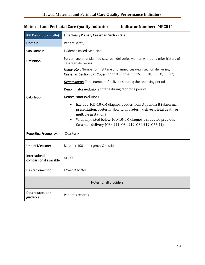<span id="page-18-0"></span>

| <b>KPI Description (title):</b>          | <b>Emergency Primary Caesarian Section rate</b>                                                                                                                                                                                                                                                |
|------------------------------------------|------------------------------------------------------------------------------------------------------------------------------------------------------------------------------------------------------------------------------------------------------------------------------------------------|
| <b>Domain</b>                            | Patient safety                                                                                                                                                                                                                                                                                 |
| Sub-Domain                               | <b>Evidence Based Medicine</b>                                                                                                                                                                                                                                                                 |
| Definition:                              | Percentage of unplanned cesarean deliveries woman without a prior history of<br>cesarean deliveries.                                                                                                                                                                                           |
|                                          | Numerator: Number of first time unplanned cesarean section deliveries,<br>Caesarian Section CPT Codes: (59510, 59514, 59515, 59618, 59620, 59622)<br><b>Denominator:</b> Total number of deliveries during the reporting period<br>Denominator exclusions criteria during reporting period.    |
| Calculation:                             | Denominator exclusions                                                                                                                                                                                                                                                                         |
|                                          | Exclude ICD-10-CM diagnosis codes from Appendix B (abnormal<br>$\bullet$<br>presentation, preterm labor with preterm delivery, fetal death, or<br>multiple gestation)<br>With any-listed below ICD-10-CM diagnosis codes for previous<br>Cesarean delivery (034.211, 034.212, 034.219, 066.41) |
| <b>Reporting Frequency:</b>              | Quarterly                                                                                                                                                                                                                                                                                      |
| Unit of Measure:                         | Rate per 100 emergency C-section                                                                                                                                                                                                                                                               |
| International<br>comparison if available | AHRQ                                                                                                                                                                                                                                                                                           |
| Desired direction:                       | Lower is better                                                                                                                                                                                                                                                                                |
| Notes for all providers                  |                                                                                                                                                                                                                                                                                                |
| Data sources and<br>guidance:            | Patient's records                                                                                                                                                                                                                                                                              |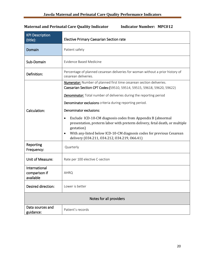<span id="page-19-0"></span>

| <b>KPI Description</b><br>(title):          | <b>Elective Primary Caesarian Section rate</b>                                                                                                                                                                                                                                                                                                                                                                                                                                                                                                                                                                                             |
|---------------------------------------------|--------------------------------------------------------------------------------------------------------------------------------------------------------------------------------------------------------------------------------------------------------------------------------------------------------------------------------------------------------------------------------------------------------------------------------------------------------------------------------------------------------------------------------------------------------------------------------------------------------------------------------------------|
| Domain                                      | Patient safety                                                                                                                                                                                                                                                                                                                                                                                                                                                                                                                                                                                                                             |
| Sub-Domain                                  | <b>Evidence Based Medicine</b>                                                                                                                                                                                                                                                                                                                                                                                                                                                                                                                                                                                                             |
| Definition:                                 | Percentage of planned cesarean deliveries for woman without a prior history of<br>cesarean deliveries.                                                                                                                                                                                                                                                                                                                                                                                                                                                                                                                                     |
| Calculation:                                | <b>Numerator:</b> Number of planned first time cesarean section deliveries.<br>Caesarian Section CPT Codes: (59510, 59514, 59515, 59618, 59620, 59622)<br><b>Denominator:</b> Total number of deliveries during the reporting period<br>Denominator exclusions criteria during reporting period.<br>Denominator exclusions:<br>Exclude ICD-10-CM diagnosis codes from Appendix B (abnormal<br>$\bullet$<br>presentation, preterm labor with preterm delivery, fetal death, or multiple<br>gestation)<br>With any-listed below ICD-10-CM diagnosis codes for previous Cesarean<br>$\bullet$<br>delivery (034.211, 034.212, 034.219, 066.41) |
| Reporting<br>Frequency:                     | Quarterly                                                                                                                                                                                                                                                                                                                                                                                                                                                                                                                                                                                                                                  |
| Unit of Measure:                            | Rate per 100 elective C-section                                                                                                                                                                                                                                                                                                                                                                                                                                                                                                                                                                                                            |
| International<br>comparison if<br>available | AHRQ                                                                                                                                                                                                                                                                                                                                                                                                                                                                                                                                                                                                                                       |
| Desired direction:                          | Lower is better                                                                                                                                                                                                                                                                                                                                                                                                                                                                                                                                                                                                                            |
| Notes for all providers                     |                                                                                                                                                                                                                                                                                                                                                                                                                                                                                                                                                                                                                                            |
| Data sources and<br>guidance:               | Patient's records                                                                                                                                                                                                                                                                                                                                                                                                                                                                                                                                                                                                                          |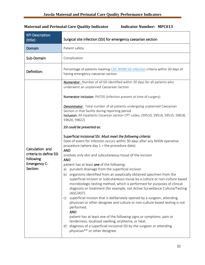<span id="page-20-0"></span>

| <b>KPI Description</b><br>(title):                                                        | Surgical site infection (SSI) for emergency caesarian section                                                                                                                                                                                                                                                                                                                                                                                                                                                                                                                                                                                                                                                                                                                                                                                                                                                                                                                                                                                                                                                                                                                                                                                                                                                                                                                                                        |
|-------------------------------------------------------------------------------------------|----------------------------------------------------------------------------------------------------------------------------------------------------------------------------------------------------------------------------------------------------------------------------------------------------------------------------------------------------------------------------------------------------------------------------------------------------------------------------------------------------------------------------------------------------------------------------------------------------------------------------------------------------------------------------------------------------------------------------------------------------------------------------------------------------------------------------------------------------------------------------------------------------------------------------------------------------------------------------------------------------------------------------------------------------------------------------------------------------------------------------------------------------------------------------------------------------------------------------------------------------------------------------------------------------------------------------------------------------------------------------------------------------------------------|
| Domain                                                                                    | Patient safety                                                                                                                                                                                                                                                                                                                                                                                                                                                                                                                                                                                                                                                                                                                                                                                                                                                                                                                                                                                                                                                                                                                                                                                                                                                                                                                                                                                                       |
| Sub-Domain                                                                                | Complication                                                                                                                                                                                                                                                                                                                                                                                                                                                                                                                                                                                                                                                                                                                                                                                                                                                                                                                                                                                                                                                                                                                                                                                                                                                                                                                                                                                                         |
| Definition:                                                                               | Percentage of patients meeting CDC NHSN SSI infection criteria within 30 days of<br>having emergency caesarian section                                                                                                                                                                                                                                                                                                                                                                                                                                                                                                                                                                                                                                                                                                                                                                                                                                                                                                                                                                                                                                                                                                                                                                                                                                                                                               |
| Calculation and<br>criteria to define SSI<br>following<br><b>Emergency C-</b><br>Section: | Numerator: Number of all SSI identified within 30 days for all patients who<br>underwent an unplanned Caesarean Section<br>Numerator Inclusion: PATOS (infection present at time of surgery)<br>Denominator: Total number of all patients undergoing unplanned Caesarean<br>Section in that facility during reporting period<br>Inclusion: All inpatients Cesarean section CPT codes; (59510, 59514, 59515, 59618,<br>59620, 59622)<br>SSI could be presented as:<br>Superficial incisional SSI: Must meet the following criteria:<br>Date of event for infection occurs within 30 days after any NHSN operative<br>procedure (where day $1 =$ the procedure date)<br><b>AND</b><br>involves only skin and subcutaneous tissue of the incision<br><b>AND</b><br>patient has at least one of the following:<br>purulent drainage from the superficial incision.<br>a)<br>organisms identified from an aseptically obtained specimen from the<br>b)<br>superficial incision or subcutaneous tissue by a culture or non-culture based<br>microbiologic testing method, which is performed for purposes of clinical<br>diagnosis or treatment (for example, not Active Surveillance Culture/Testing<br>(ASC/AST).<br>superficial incision that is deliberately opened by a surgeon, attending<br>$\mathsf{C}$<br>physician or other designee and culture or non-culture based testing is not<br>performed.<br><b>AND</b> |
|                                                                                           | patient has at least one of the following signs or symptoms: pain or<br>tenderness; localized swelling; erythema; or heat.<br>diagnosis of a superficial incisional SSI by the surgeon or attending<br>d)<br>physician** or other designee.                                                                                                                                                                                                                                                                                                                                                                                                                                                                                                                                                                                                                                                                                                                                                                                                                                                                                                                                                                                                                                                                                                                                                                          |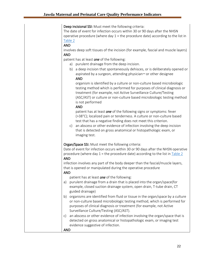#### Deep incisional SSI: Must meet the following criteria:

The date of event for infection occurs within 30 or 90 days after the NHSN operative procedure (where day  $1 =$  the procedure date) according to the list in [Table](https://www.cdc.gov/nhsn/pdfs/pscmanual/9pscssicurrent.pdf) 2

#### AND

involves deep soft tissues of the incision (for example, fascial and muscle layers) AND

patient has at least *one* of the following:

- a) purulent drainage from the deep incision.
- b) a deep incision that spontaneously dehisces, or is deliberately opened or aspirated by a surgeon, attending physician\*\* or other designee

#### AND

organism is identified by a culture or non-culture based microbiologic testing method which is performed for purposes of clinical diagnosis or treatment (for example, not Active Surveillance Culture/Testing (ASC/AST) or culture or non-culture based microbiologic testing method is not performed

#### AND

patient has at least *one* of the following signs or symptoms: fever (>38°C); localized pain or tenderness. A culture or non-culture based test that has a negative finding does not meet this criterion.

c) an abscess or other evidence of infection involving the deep incision that is detected on gross anatomical or histopathologic exam, or imaging test.

#### Organ/Space SSI: Must meet the following criteria:

Date of event for infection occurs within 30 or 90 days after the NHSN operative procedure (where day  $1$  = the procedure date) according to the list in [Table 2](https://www.cdc.gov/nhsn/pdfs/pscmanual/9pscssicurrent.pdf) AND

infection involves any part of the body deeper than the fascial/muscle layers, that is opened or manipulated during the operative procedure

#### AND

patient has at least *one* of the following:

- a) purulent drainage from a drain that is placed into the organ/space(for example, closed suction drainage system, open drain, T-tube drain, CT guided drainage)
- b) organisms are identified from fluid or tissue in the organ/space by a culture or non-culture based microbiologic testing method, which is performed for purposes of clinical diagnosis or treatment (for example, not Active Surveillance Culture/Testing (ASC/AST).
- c) an abscess or other evidence of infection involving the organ/space that is detected on gross anatomical or histopathologic exam, or imaging test evidence suggestive of infection.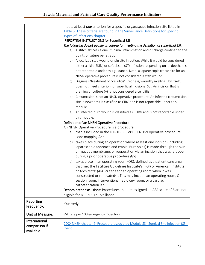|                         | meets at least <i>one</i> criterion for a specific organ/space infection site listed in   |
|-------------------------|-------------------------------------------------------------------------------------------|
|                         | Table 3. These criteria are found in the Surveillance Definitions for Specific            |
|                         | Types of Infections chapter.                                                              |
|                         | REPORTING INSTRUCTIONS for Superficial SSI                                                |
|                         | The following do not qualify as criteria for meeting the definition of superficial SSI:   |
|                         | a) A stitch abscess alone (minimal inflammation and discharge confined to the             |
|                         | points of suture penetration)                                                             |
|                         | b) A localized stab wound or pin site infection. While it would be considered             |
|                         | either a skin (SKIN) or soft tissue (ST) infection, depending on its depth, it is         |
|                         | not reportable under this guidance. Note: a laparoscopic trocar site for an               |
|                         | NHSN operative procedure is not considered a stab wound.                                  |
|                         | Diagnosis/treatment of "cellulitis" (redness/warmth/swelling), by itself,<br>$\mathsf{C}$ |
|                         | does not meet criterion for superficial incisional SSI. An incision that is               |
|                         | draining or culture (+) is not considered a cellulitis.                                   |
|                         | Circumcision is not an NHSN operative procedure. An infected circumcision<br>d)           |
|                         | site in newborns is classified as CIRC and is not reportable under this                   |
|                         | module.                                                                                   |
|                         | e) An infected burn wound is classified as BURN and is not reportable under               |
|                         | this module.                                                                              |
|                         | Definition of an NHSN Operative Procedure                                                 |
|                         | An NHSN Operative Procedure is a procedure:                                               |
|                         | a) that is included in the ICD-10-PCS or CPT NHSN operative procedure                     |
|                         | code mapping And                                                                          |
|                         | b) takes place during an operation where at least one incision (including                 |
|                         | laparoscopic approach and cranial Burr holes) is made through the skin                    |
|                         | or mucous membrane, or reoperation via an incision that was left open                     |
|                         | during a prior operative procedure And                                                    |
|                         | takes place in an operating room (OR), defined as a patient care area<br>c)               |
|                         | that met the Facilities Guidelines Institute's (FGI) or American Institute                |
|                         | of Architects' (AIA) criteria for an operating room when it was                           |
|                         | constructed or renovated11. This may include an operating room, C-                        |
|                         | section room, interventional radiology room, or a cardiac                                 |
|                         | catheterization lab.                                                                      |
|                         | Denominator exclusions: Procedures that are assigned an ASA score of 6 are not            |
|                         | eligible for NHSN SSI surveillance.                                                       |
| Reporting<br>Frequency: | Quarterly                                                                                 |
|                         |                                                                                           |
| Unit of Measure:        | SSI Rate per 100 emergency C-Section                                                      |
| International           | CDC/ NHSN chapter 9, Procedure-associated Module SSI: Surgical Site Infection (SSI)       |
| comparison if           | Event                                                                                     |
| available               |                                                                                           |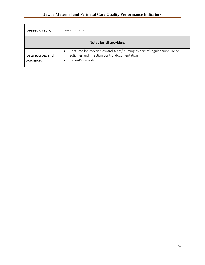| Desired direction:            | Lower is better                                                                                                                                    |  |
|-------------------------------|----------------------------------------------------------------------------------------------------------------------------------------------------|--|
| Notes for all providers       |                                                                                                                                                    |  |
| Data sources and<br>guidance: | Captured by infection control team/ nursing as part of regular surveillance<br>activities and infection control documentation<br>Patient's records |  |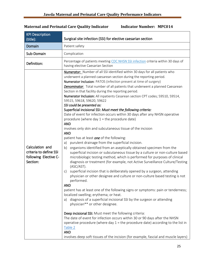<span id="page-24-0"></span>

| <b>KPI Description</b><br>(title):                                             | Surgical site infection (SSI) for elective caesarian section                                                                                                                                                                                                                                                                                                                                                                                                                                                                                                                                                                                                                                                                                                                                                                                                                                                                                                                                                                                                                                                                                                                                                                                                                                                                                                                                                                                                                                                                                                                                                                                                                                                                                                                                                                                                                                                                                                                                                                                                              |
|--------------------------------------------------------------------------------|---------------------------------------------------------------------------------------------------------------------------------------------------------------------------------------------------------------------------------------------------------------------------------------------------------------------------------------------------------------------------------------------------------------------------------------------------------------------------------------------------------------------------------------------------------------------------------------------------------------------------------------------------------------------------------------------------------------------------------------------------------------------------------------------------------------------------------------------------------------------------------------------------------------------------------------------------------------------------------------------------------------------------------------------------------------------------------------------------------------------------------------------------------------------------------------------------------------------------------------------------------------------------------------------------------------------------------------------------------------------------------------------------------------------------------------------------------------------------------------------------------------------------------------------------------------------------------------------------------------------------------------------------------------------------------------------------------------------------------------------------------------------------------------------------------------------------------------------------------------------------------------------------------------------------------------------------------------------------------------------------------------------------------------------------------------------------|
| Domain                                                                         | Patient safety                                                                                                                                                                                                                                                                                                                                                                                                                                                                                                                                                                                                                                                                                                                                                                                                                                                                                                                                                                                                                                                                                                                                                                                                                                                                                                                                                                                                                                                                                                                                                                                                                                                                                                                                                                                                                                                                                                                                                                                                                                                            |
| Sub-Domain                                                                     | Complication                                                                                                                                                                                                                                                                                                                                                                                                                                                                                                                                                                                                                                                                                                                                                                                                                                                                                                                                                                                                                                                                                                                                                                                                                                                                                                                                                                                                                                                                                                                                                                                                                                                                                                                                                                                                                                                                                                                                                                                                                                                              |
| Definition:                                                                    | Percentage of patients meeting CDC NHSN SSI infection criteria within 30 days of<br>having elective Caesarian Section                                                                                                                                                                                                                                                                                                                                                                                                                                                                                                                                                                                                                                                                                                                                                                                                                                                                                                                                                                                                                                                                                                                                                                                                                                                                                                                                                                                                                                                                                                                                                                                                                                                                                                                                                                                                                                                                                                                                                     |
| Calculation and<br>criteria to define SSI<br>following Elective C-<br>Section: | <b>Numerator:</b> Number of all SSI identified within 30 days for all patients who<br>underwent a planned caesarean section during the reporting period.<br>Numerator Inclusion: PATOS (infection present at time of surgery)<br><b>Denominator:</b> Total number of all patients that underwent a planned Caesarean<br>Section in that facility during the reporting period.<br>Numerator Inclusion: All inpatients Cesarean section CPT codes; 59510, 59514,<br>59515, 59618, 59620, 59622<br>SSI could be presented as:<br>Superficial incisional SSI: Must meet the following criteria:<br>Date of event for infection occurs within 30 days after any NHSN operative<br>procedure (where day $1 =$ the procedure date)<br><b>AND</b><br>involves only skin and subcutaneous tissue of the incision<br><b>AND</b><br>patient has at least one of the following:<br>purulent drainage from the superficial incision.<br>a)<br>organisms identified from an aseptically obtained specimen from the<br>b)<br>superficial incision or subcutaneous tissue by a culture or non-culture based<br>microbiologic testing method, which is performed for purposes of clinical<br>diagnosis or treatment (for example, not Active Surveillance Culture/Testing<br>(ASC/AST).<br>superficial incision that is deliberately opened by a surgeon, attending<br>$\mathsf{C}$<br>physician or other designee and culture or non-culture based testing is not<br>performed.<br><b>AND</b><br>patient has at least one of the following signs or symptoms: pain or tenderness;<br>localized swelling; erythema; or heat.<br>diagnosis of a superficial incisional SSI by the surgeon or attending<br>a)<br>physician** or other designee.<br>Deep incisional SSI: Must meet the following criteria:<br>The date of event for infection occurs within 30 or 90 days after the NHSN<br>operative procedure (where day $1$ = the procedure date) according to the list in<br>Table 2<br><b>AND</b><br>involves deep soft tissues of the incision (for example, fascial and muscle layers) |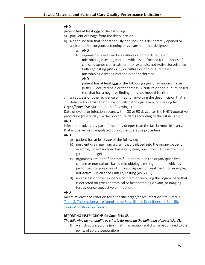#### AND

patient has at least *one* of the following:

- a) purulent drainage from the deep incision.
- b) a deep incision that spontaneously dehisces, or is deliberately opened or aspirated by a surgeon, attending physician\*\* or other designee
	- a. AND
	- b. organism is identified by a culture or non-culture based microbiologic testing method which is performed for purposes of clinical diagnosis or treatment (for example, not Active Surveillance Culture/Testing (ASC/AST) or culture or non-culture based microbiologic testing method is not performed

#### AND

patient has at least *one* of the following signs or symptoms: fever (>38°C); localized pain or tenderness. A culture or non-culture based test that has a negative finding does not meet this criterion.

c) an abscess or other evidence of infection involving the deep incision that is detected on gross anatomical or histopathologic exam, or imaging test.

Organ/Space SSI: Must meet the following criteria:

Date of event for infection occurs within 30 or 90 days after the NHSN operative procedure (where day 1 = the procedure date) according to the list in Table 2 AND

infection involves any part of the body deeper than the fascial/muscle layers, that is opened or manipulated during the operative procedure

#### AND

- a) patient has at least *one* of the following:
- b) purulent drainage from a drain that is placed into the organ/space(for example, closed suction drainage system, open drain, T-tube drain, CT guided drainage)
- c) organisms are identified from fluid or tissue in the organ/space by a culture or non-culture based microbiologic testing method, which is performed for purposes of clinical diagnosis or treatment (for example, not Active Surveillance Culture/Testing (ASC/AST).
- d) an abscess or other evidence of infection involving the organ/space that is detected on gross anatomical or histopathologic exam, or imaging test evidence suggestive of infection.

#### AND

meets at least *one* criterion for a specific organ/space infection site listed in [Table 3. These criteria are found in the Surveillance Definitions for Specific](https://www.cdc.gov/nhsn/pdfs/pscmanual/9pscssicurrent.pdf)  [Types of Infections chapter.](https://www.cdc.gov/nhsn/pdfs/pscmanual/9pscssicurrent.pdf)

#### REPORTING INSTRUCTIONS for Superficial SSI

*The following do not qualify as criteria for meeting the definition of superficial SSI*:

f) A stitch abscess alone (minimal inflammation and discharge confined to the points of suture penetration)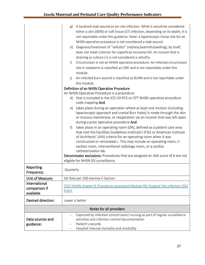|                                             | A localized stab wound or pin site infection. While it would be considered<br>g)<br>either a skin (SKIN) or soft tissue (ST) infection, depending on its depth, it is<br>not reportable under this guidance. Note: a laparoscopic trocar site for an<br>NHSN operative procedure is not considered a stab wound.<br>Diagnosis/treatment of "cellulitis" (redness/warmth/swelling), by itself,<br>h)<br>does not meet criterion for superficial incisional SSI. An incision that is<br>draining or culture (+) is not considered a cellulitis.<br>Circumcision is not an NHSN operative procedure. An infected circumcision<br>$\mathsf{i}$<br>site in newborns is classified as CIRC and is not reportable under this<br>module.<br>An infected burn wound is classified as BURN and is not reportable under<br>i) |
|---------------------------------------------|--------------------------------------------------------------------------------------------------------------------------------------------------------------------------------------------------------------------------------------------------------------------------------------------------------------------------------------------------------------------------------------------------------------------------------------------------------------------------------------------------------------------------------------------------------------------------------------------------------------------------------------------------------------------------------------------------------------------------------------------------------------------------------------------------------------------|
|                                             | this module.                                                                                                                                                                                                                                                                                                                                                                                                                                                                                                                                                                                                                                                                                                                                                                                                       |
|                                             | Definition of an NHSN Operative Procedure<br>An NHSN Operative Procedure is a procedure:                                                                                                                                                                                                                                                                                                                                                                                                                                                                                                                                                                                                                                                                                                                           |
|                                             | d) that is included in the ICD-10-PCS or CPT NHSN operative procedure<br>code mapping And                                                                                                                                                                                                                                                                                                                                                                                                                                                                                                                                                                                                                                                                                                                          |
|                                             | e) takes place during an operation where at least one incision (including<br>laparoscopic approach and cranial Burr holes) is made through the skin<br>or mucous membrane, or reoperation via an incision that was left open<br>during a prior operative procedure And                                                                                                                                                                                                                                                                                                                                                                                                                                                                                                                                             |
|                                             | takes place in an operating room (OR), defined as a patient care area<br>f)<br>that met the Facilities Guidelines Institute's (FGI) or American Institute<br>of Architects' (AIA) criteria for an operating room when it was<br>constructed or renovated11. This may include an operating room, C-<br>section room, interventional radiology room, or a cardiac<br>catheterization lab.                                                                                                                                                                                                                                                                                                                                                                                                                            |
|                                             | Denominator exclusions: Procedures that are assigned an ASA score of 6 are not                                                                                                                                                                                                                                                                                                                                                                                                                                                                                                                                                                                                                                                                                                                                     |
|                                             | eligible for NHSN SSI surveillance.                                                                                                                                                                                                                                                                                                                                                                                                                                                                                                                                                                                                                                                                                                                                                                                |
| Reporting<br>Frequency:                     | Quarterly                                                                                                                                                                                                                                                                                                                                                                                                                                                                                                                                                                                                                                                                                                                                                                                                          |
| Unit of Measure:                            | SSI Rate per 100 elective C-Section                                                                                                                                                                                                                                                                                                                                                                                                                                                                                                                                                                                                                                                                                                                                                                                |
| International<br>comparison if<br>available | CDC/ NHSN chapter 9, Procedure-associated Module SSI: Surgical Site Infection (SSI)<br>Event                                                                                                                                                                                                                                                                                                                                                                                                                                                                                                                                                                                                                                                                                                                       |
| Desired direction:                          | Lower is better                                                                                                                                                                                                                                                                                                                                                                                                                                                                                                                                                                                                                                                                                                                                                                                                    |
|                                             | Notes for all providers                                                                                                                                                                                                                                                                                                                                                                                                                                                                                                                                                                                                                                                                                                                                                                                            |
| Data sources and<br>guidance:               | Captured by infection control team/ nursing as part of regular surveillance<br>activities and infection control documentation<br>Patient's records<br>Hospital internal mortality and morbidity                                                                                                                                                                                                                                                                                                                                                                                                                                                                                                                                                                                                                    |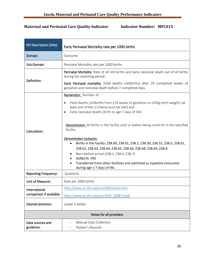<span id="page-27-0"></span>

| <b>KPI Description (title):</b>          | Early Perinatal Mortality rate per 1000 births                                                                                                                                                                                                                                                                                       |
|------------------------------------------|--------------------------------------------------------------------------------------------------------------------------------------------------------------------------------------------------------------------------------------------------------------------------------------------------------------------------------------|
| Domain                                   | Outcome                                                                                                                                                                                                                                                                                                                              |
| Sub-Domain                               | Perinatal Mortality rate per 1000 births                                                                                                                                                                                                                                                                                             |
| Definition:                              | Perinatal Mortality: Rate of all still births and early neonatal death out of all births<br>during the reporting period.                                                                                                                                                                                                             |
|                                          | Early Perinatal mortality: Fetal deaths (stillbirths) after 24 completed weeks of<br>gestation and neonatal death before 7 completed days.                                                                                                                                                                                           |
|                                          | <b>Numerator:</b> Number of :                                                                                                                                                                                                                                                                                                        |
| Calculation:                             | Fetal deaths (stillbirths from ≥24 weeks of gestation or ≥500g birth weight) (at<br>$\bullet$<br>least one of the 2 criteria must be met) and<br>Early neonatal deaths (birth to age 7 days of life)<br>$\bullet$                                                                                                                    |
|                                          | <b>Denominator:</b> All births in the facility and/ or babies being cared for in the specified<br>facility.                                                                                                                                                                                                                          |
|                                          | Denominator inclusion:<br>Births in the facility: Z38.00, Z38.01, Z38.2, Z38.30, Z38.31, Z38.5, Z38.61,<br>Z38.62, Z38.63, Z38.64, Z38.65, Z38.66, Z38.68, Z38.69, Z38.8.<br>Born before arrival (Z38.1, Z38.4, Z38.7)<br>٠<br>Stillbirth: P95<br>$\bullet$<br>Transferred from other facilities and admitted as inpatient encounter |
| <b>Reporting Frequency:</b>              | during age $\leq 7$ days of life.<br>Quarterly                                                                                                                                                                                                                                                                                       |
| Unit of Measure:                         | Rate per 1000 births                                                                                                                                                                                                                                                                                                                 |
| International<br>comparison if available | http://www.pi.nhs.uk/pnm/definitions.htm<br>http://www.pi.nhs.uk/pnm/KHD_2008-9.pdf                                                                                                                                                                                                                                                  |
| Desired direction:                       | Lower is better                                                                                                                                                                                                                                                                                                                      |
| Notes for all providers                  |                                                                                                                                                                                                                                                                                                                                      |
| Data sources and<br>guidance:            | Manual Data Collection<br>Patient's Records                                                                                                                                                                                                                                                                                          |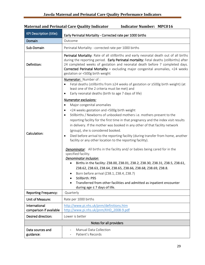<span id="page-28-0"></span>

| KPI Description (title):                 | Early Perinatal Mortality - Corrected rate per 1000 births                                                                                                                                                                                                                                                                                                                                                                                                                                                                                                                                                                                                                                                                                                                                                                                                                                                                                                                                                                                                                                                                                                                                                                                                                                              |
|------------------------------------------|---------------------------------------------------------------------------------------------------------------------------------------------------------------------------------------------------------------------------------------------------------------------------------------------------------------------------------------------------------------------------------------------------------------------------------------------------------------------------------------------------------------------------------------------------------------------------------------------------------------------------------------------------------------------------------------------------------------------------------------------------------------------------------------------------------------------------------------------------------------------------------------------------------------------------------------------------------------------------------------------------------------------------------------------------------------------------------------------------------------------------------------------------------------------------------------------------------------------------------------------------------------------------------------------------------|
| Domain                                   | Outcome                                                                                                                                                                                                                                                                                                                                                                                                                                                                                                                                                                                                                                                                                                                                                                                                                                                                                                                                                                                                                                                                                                                                                                                                                                                                                                 |
| Sub-Domain                               | Perinatal Mortality - corrected rate per 1000 births                                                                                                                                                                                                                                                                                                                                                                                                                                                                                                                                                                                                                                                                                                                                                                                                                                                                                                                                                                                                                                                                                                                                                                                                                                                    |
| Definition:                              | Perinatal Mortality: Rate of all stillbirths and early neonatal death out of all births<br>during the reporting period. Early Perinatal mortality: Fetal deaths (stillbirths) after<br>24 completed weeks of gestation and neonatal death before 7 completed days.<br>Corrected Perinatal Mortality = excluding major congenital anomalies, <24 weeks<br>gestation or <500g birth weight                                                                                                                                                                                                                                                                                                                                                                                                                                                                                                                                                                                                                                                                                                                                                                                                                                                                                                                |
| Calculation:                             | Numerator: Number of :<br>Fetal deaths (stillbirths from ≥24 weeks of gestation or ≥500g birth weight) (at<br>least one of the 2 criteria must be met) and<br>Early neonatal deaths (birth to age 7 days of life)<br>$\bullet$<br>Numerator exclusions:<br>Major congenital anomalies<br>$\bullet$<br><24 weeks gestation and <500g birth weight<br>٠<br>Stillbirths / Newborns of unbooked mothers i.e. mothers present to the<br>$\bullet$<br>reporting facility for the first time in that pregnancy and the index visit results<br>in delivery. If the mother was booked in any other of that facility network<br>(group), she is considered booked.<br>Died before arrival to the reporting facility (during transfer from home, another<br>٠<br>facility or any other location to the reporting facility).<br><b>Denominator:</b> All births in the facility and/ or babies being cared for in the<br>specified facility.<br>Denominator inclusion:<br>Births in the facility: Z38.00, Z38.01, Z38.2, Z38.30, Z38.31, Z38.5, Z38.61,<br>$\bullet$<br>Z38.62, Z38.63, Z38.64, Z38.65, Z38.66, Z38.68, Z38.69, Z38.8.<br>Born before arrival (Z38.1, Z38.4, Z38.7)<br>Stillbirth: P95<br>Transferred from other facilities and admitted as inpatient encounter<br>during age $\leq 7$ days of life. |
| <b>Reporting Frequency:</b>              | Quarterly                                                                                                                                                                                                                                                                                                                                                                                                                                                                                                                                                                                                                                                                                                                                                                                                                                                                                                                                                                                                                                                                                                                                                                                                                                                                                               |
| Unit of Measure:                         | Rate per 1000 births                                                                                                                                                                                                                                                                                                                                                                                                                                                                                                                                                                                                                                                                                                                                                                                                                                                                                                                                                                                                                                                                                                                                                                                                                                                                                    |
| International<br>comparison if available | http://www.pi.nhs.uk/pnm/definitions.htm<br>http://www.pi.nhs.uk/pnm/KHD 2008-9.pdf                                                                                                                                                                                                                                                                                                                                                                                                                                                                                                                                                                                                                                                                                                                                                                                                                                                                                                                                                                                                                                                                                                                                                                                                                     |
| Desired direction:                       | Lower is better                                                                                                                                                                                                                                                                                                                                                                                                                                                                                                                                                                                                                                                                                                                                                                                                                                                                                                                                                                                                                                                                                                                                                                                                                                                                                         |
|                                          | Notes for all providers                                                                                                                                                                                                                                                                                                                                                                                                                                                                                                                                                                                                                                                                                                                                                                                                                                                                                                                                                                                                                                                                                                                                                                                                                                                                                 |
| Data sources and<br>guidance:            | Manual Data Collection<br>Patient's Records                                                                                                                                                                                                                                                                                                                                                                                                                                                                                                                                                                                                                                                                                                                                                                                                                                                                                                                                                                                                                                                                                                                                                                                                                                                             |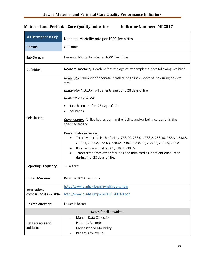# <span id="page-29-0"></span>KPI Description (title): Neonatal Mortality rate per 1000 live births Domain **Domain Outcome** Sub-Domain Reonatal Mortality rate per 1000 live births Definition: **Neonatal mortality**: Death before the age of 28 completed days following live birth. Calculation: *Numerator:* Number of neonatal death during first 28 days of life during hospital stay *Numerator inclusion*: All patients age up to 28 days of life *Numerator exclusion*: • Deaths on or after 28 days of life • Stillbirths *Denominator*: All live babies born in the facility and/or being cared for in the specified facility Denominator inclusion*:* • Total live births in the facility: Z38.00, Z38.01, Z38.2, Z38.30, Z38.31, Z38.5, Z38.61, Z38.62, Z38.63, Z38.64, Z38.65, Z38.66, Z38.68, Z38.69, Z38.8. • Born before arrival (Z38.1, Z38.4, Z38.7) • Transferred from other facilities and admitted as inpatient encounter during first 28 days of life. Reporting Frequency: | Quarterly Unit of Measure: **Rate per 1000 live births** International comparison if available <http://www.pi.nhs.uk/pnm/definitions.htm> [http://www.pi.nhs.uk/pnm/KHD\\_2008-9.pdf](http://www.pi.nhs.uk/pnm/KHD_2008-9.pdf) Desired direction: **Lower** is better Notes for all providers Data sources and guidance: - Manual Data Collection Patient's Records - Mortality and Morbidity Patient's follow up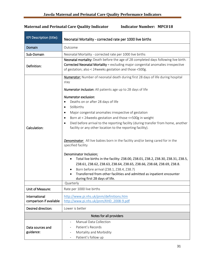<span id="page-30-0"></span>

| KPI Description (title):                 | Neonatal Mortality - corrected rate per 1000 live births                                                                                                                                                                                                                                                   |
|------------------------------------------|------------------------------------------------------------------------------------------------------------------------------------------------------------------------------------------------------------------------------------------------------------------------------------------------------------|
| Domain                                   | Outcome                                                                                                                                                                                                                                                                                                    |
| Sub-Domain                               | Neonatal Mortality - corrected rate per 1000 live births                                                                                                                                                                                                                                                   |
| Definition:                              | Neonatal mortality: Death before the age of 28 completed days following live birth.<br>Corrected Neonatal Mortality = excluding major congenital anomalies irrespective<br>of gestation; also < 24weeks gestation and those <500g.                                                                         |
|                                          | Numerator: Number of neonatal death during first 28 days of life during hospital<br>stay                                                                                                                                                                                                                   |
|                                          | Numerator inclusion: All patients age up to 28 days of life                                                                                                                                                                                                                                                |
|                                          | Numerator exclusion:                                                                                                                                                                                                                                                                                       |
|                                          | Deaths on or after 28 days of life<br>$\bullet$                                                                                                                                                                                                                                                            |
|                                          | Stillbirths<br>$\bullet$                                                                                                                                                                                                                                                                                   |
|                                          | Major congenital anomalies irrespective of gestation<br>$\bullet$                                                                                                                                                                                                                                          |
|                                          | Born at < 24 weeks gestation and those <= 500g in weight<br>٠                                                                                                                                                                                                                                              |
| Calculation:                             | Died before arrival to the reporting facility (during transfer from home, another<br>facility or any other location to the reporting facility).                                                                                                                                                            |
|                                          | <b>Denominator:</b> All live babies born in the facility and/or being cared for in the<br>specified facility                                                                                                                                                                                               |
|                                          | Denominator Inclusion:<br>Total live births in the facility: Z38.00, Z38.01, Z38.2, Z38.30, Z38.31, Z38.5,<br>Z38.61, Z38.62, Z38.63, Z38.64, Z38.65, Z38.66, Z38.68, Z38.69, Z38.8.<br>Born before arrival (Z38.1, Z38.4, Z38.7)<br>Transferred from other facilities and admitted as inpatient encounter |
|                                          | during first 28 days of life.<br>Quarterly                                                                                                                                                                                                                                                                 |
| Unit of Measure:                         | Rate per 1000 live births                                                                                                                                                                                                                                                                                  |
| International<br>comparison if available | http://www.pi.nhs.uk/pnm/definitions.htm<br>http://www.pi.nhs.uk/pnm/KHD_2008-9.pdf                                                                                                                                                                                                                        |
| Desired direction:                       | Lower is better                                                                                                                                                                                                                                                                                            |
| Notes for all providers                  |                                                                                                                                                                                                                                                                                                            |
|                                          | Manual Data Collection                                                                                                                                                                                                                                                                                     |
| Data sources and                         | Patient's Records                                                                                                                                                                                                                                                                                          |
| guidance:                                | Mortality and Morbidity<br>$\overline{\phantom{a}}$                                                                                                                                                                                                                                                        |
|                                          | Patient's follow up                                                                                                                                                                                                                                                                                        |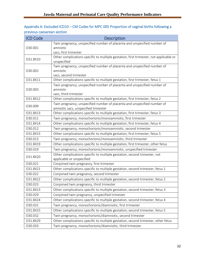### Appendix A: Excluded ICD10 – CM Codes for MPC 005 Proportion of vaginal births following a previous caesarean section

| <b>ICD Code</b> | <b>Description</b>                                                                                               |
|-----------------|------------------------------------------------------------------------------------------------------------------|
| 030.001         | Twin pregnancy, unspecified number of placenta and unspecified number of                                         |
|                 | amniotic                                                                                                         |
|                 | sacs, first trimester                                                                                            |
| O31.8X10        | Other complications specific to multiple gestation, first trimester, not applicable or<br>unspecified            |
|                 | Twin pregnancy, unspecified number of placenta and unspecified number of                                         |
| O30.002         | amniotic                                                                                                         |
|                 | sacs, second trimester                                                                                           |
| O31.8X11        | Other complications specific to multiple gestation, first trimester, fetus 1                                     |
|                 | Twin pregnancy, unspecified number of placenta and unspecified number of                                         |
| O30.003         | amniotic                                                                                                         |
|                 | sacs, third trimester                                                                                            |
| O31.8X12        | Other complications specific to multiple gestation, first trimester, fetus 2                                     |
| O30.009         | Twin pregnancy, unspecified number of placenta and unspecified number of<br>amniotic sacs, unspecified trimester |
| O31.8X13        | Other complications specific to multiple gestation, first trimester, fetus 3                                     |
| 030.011         | Twin pregnancy, monochorionic/monoamniotic, first trimester                                                      |
| O31.8X14        | Other complications specific to multiple gestation, first trimester, fetus 4                                     |
| 030.012         | Twin pregnancy, monochorionic/monoamniotic, second trimester                                                     |
| O31.8X15        | Other complications specific to multiple gestation, first trimester, fetus 5                                     |
| 030.013         | Twin pregnancy, monochorionic/monoamniotic, third trimester                                                      |
| O31.8X19        | Other complications specific to multiple gestation, first trimester, other fetus                                 |
| 030.019         | Twin pregnancy, monochorionic/monoamniotic, unspecified trimester                                                |
| O31.8X20        | Other complications specific to multiple gestation, second trimester, not                                        |
|                 | applicable or unspecified                                                                                        |
| 030.021         | Conjoined twin pregnancy, first trimester                                                                        |
| O31.8X21        | Other complications specific to multiple gestation, second trimester, fetus 1                                    |
| O30.022         | Conjoined twin pregnancy, second trimester                                                                       |
| O31.8X22        | Other complications specific to multiple gestation, second trimester, fetus 2                                    |
| 030.023         | Conjoined twin pregnancy, third trimester                                                                        |
| O31.8X23        | Other complications specific to multiple gestation, second trimester, fetus 3                                    |
| 030.029         | Conjoined twin pregnancy, unspecified trimester                                                                  |
| O31.8X24        | Other complications specific to multiple gestation, second trimester, fetus 4                                    |
| 030.031         | Twin pregnancy, monochorionic/diamniotic, first trimester                                                        |
| O31.8X25        | Other complications specific to multiple gestation, second trimester, fetus 5                                    |
| 030.032         | Twin pregnancy, monochorionic/diamniotic, second trimester                                                       |
| O31.8X29        | Other complications specific to multiple gestation, second trimester, other fetus                                |
| 030.033         | Twin pregnancy, monochorionic/diamniotic, third trimester                                                        |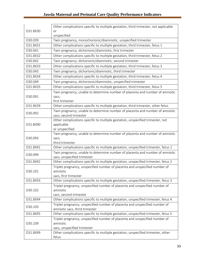|          | Other complications specific to multiple gestation, third trimester, not applicable     |
|----------|-----------------------------------------------------------------------------------------|
| O31.8X30 | or                                                                                      |
|          | unspecified                                                                             |
| 030.039  | Twin pregnancy, monochorionic/diamniotic, unspecified trimester                         |
| O31.8X31 | Other complications specific to multiple gestation, third trimester, fetus 1            |
| 030.041  | Twin pregnancy, dichorionic/diamniotic, first trimester                                 |
| O31.8X32 | Other complications specific to multiple gestation, third trimester, fetus 2            |
| O30.042  | Twin pregnancy, dichorionic/diamniotic, second trimester                                |
| O31.8X33 | Other complications specific to multiple gestation, third trimester, fetus 3            |
| O30.043  | Twin pregnancy, dichorionic/diamniotic, third trimester                                 |
| O31.8X34 | Other complications specific to multiple gestation, third trimester, fetus 4            |
| O30.049  | Twin pregnancy, dichorionic/diamniotic, unspecified trimester                           |
| O31.8X35 | Other complications specific to multiple gestation, third trimester, fetus 5            |
|          | Twin pregnancy, unable to determine number of placenta and number of amniotic           |
| 030.091  | sacs,                                                                                   |
|          | first trimester                                                                         |
| O31.8X39 | Other complications specific to multiple gestation, third trimester, other fetus        |
| O30.092  | Twin pregnancy, unable to determine number of placenta and number of amniotic           |
|          | sacs, second trimester                                                                  |
|          | Other complications specific to multiple gestation, unspecified trimester, not          |
| O31.8X90 | applicable<br>or unspecified                                                            |
|          | Twin pregnancy, unable to determine number of placenta and number of amniotic           |
| O30.093  | sacs,                                                                                   |
|          | third trimester                                                                         |
| O31.8X91 | Other complications specific to multiple gestation, unspecified trimester, fetus 1      |
|          | Twin pregnancy, unable to determine number of placenta and number of amniotic           |
| O30.099  | sacs, unspecified trimester                                                             |
| O31.8X92 | Other complications specific to multiple gestation, unspecified trimester, fetus 2      |
|          | Triplet pregnancy, unspecified number of placenta and unspecified number of             |
| 030.101  | amniotic                                                                                |
|          | sacs, first trimester                                                                   |
| O31.8X93 | Other complications specific to multiple gestation, unspecified trimester, fetus 3      |
|          | Triplet pregnancy, unspecified number of placenta and unspecified number of             |
| 030.102  | amniotic                                                                                |
|          | sacs, second trimester                                                                  |
| O31.8X94 | Other complications specific to multiple gestation, unspecified trimester, fetus 4      |
| 030.103  | Triplet pregnancy, unspecified number of placenta and unspecified number of             |
|          | amniotic sacs, third trimester                                                          |
| O31.8X95 | Other complications specific to multiple gestation, unspecified trimester, fetus 5      |
| 030.109  | Triplet pregnancy, unspecified number of placenta and unspecified number of<br>amniotic |
|          | sacs, unspecified trimester                                                             |
| O31.8X99 | Other complications specific to multiple gestation, unspecified trimester, other        |
|          | fetus                                                                                   |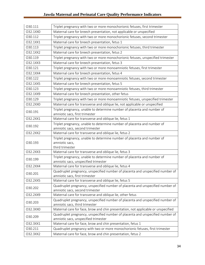| 030.111  | Triplet pregnancy with two or more monochorionic fetuses, first trimester                                        |
|----------|------------------------------------------------------------------------------------------------------------------|
| O32.1XX0 | Maternal care for breech presentation, not applicable or unspecified                                             |
| 030.112  | Triplet pregnancy with two or more monochorionic fetuses, second trimester                                       |
| O32.1XX1 | Maternal care for breech presentation, fetus 1                                                                   |
| 030.113  | Triplet pregnancy with two or more monochorionic fetuses, third trimester                                        |
| O32.1XX2 | Maternal care for breech presentation, fetus 2                                                                   |
| 030.119  | Triplet pregnancy with two or more monochorionic fetuses, unspecified trimester                                  |
| O32.1XX3 | Maternal care for breech presentation, fetus 3                                                                   |
| 030.121  | Triplet pregnancy with two or more monoamniotic fetuses, first trimester                                         |
| O32.1XX4 | Maternal care for breech presentation, fetus 4                                                                   |
| 030.122  | Triplet pregnancy with two or more monoamniotic fetuses, second trimester                                        |
| O32.1XX5 | Maternal care for breech presentation, fetus 5                                                                   |
| 030.123  | Triplet pregnancy with two or more monoamniotic fetuses, third trimester                                         |
| O32.1XX9 | Maternal care for breech presentation, other fetus                                                               |
| 030.129  | Triplet pregnancy with two or more monoamniotic fetuses, unspecified trimester                                   |
| O32.2XX0 | Maternal care for transverse and oblique lie, not applicable or unspecified                                      |
| 030.191  | Triplet pregnancy, unable to determine number of placenta and number of                                          |
|          | amniotic sacs, first trimester                                                                                   |
| O32.2XX1 | Maternal care for transverse and oblique lie, fetus 1                                                            |
| 030.192  | Triplet pregnancy, unable to determine number of placenta and number of                                          |
|          | amniotic sacs, second trimester                                                                                  |
| O32.2XX2 | Maternal care for transverse and oblique lie, fetus 2                                                            |
| 030.193  | Triplet pregnancy, unable to determine number of placenta and number of<br>amniotic sacs,                        |
|          | third trimester                                                                                                  |
| O32.2XX3 | Maternal care for transverse and oblique lie, fetus 3                                                            |
|          | Triplet pregnancy, unable to determine number of placenta and number of                                          |
| 030.199  | amniotic sacs, unspecified trimester                                                                             |
| O32.2XX4 | Maternal care for transverse and oblique lie, fetus 4                                                            |
| 030.201  | Quadruplet pregnancy, unspecified number of placenta and unspecified number of<br>amniotic sacs, first trimester |
| O32.2XX5 | Maternal care for transverse and oblique lie, fetus 5                                                            |
| 030.202  | Quadruplet pregnancy, unspecified number of placenta and unspecified number of                                   |
|          | amniotic sacs, second trimester                                                                                  |
| O32.2XX9 | Maternal care for transverse and oblique lie, other fetus                                                        |
| 030.203  | Quadruplet pregnancy, unspecified number of placenta and unspecified number of<br>amniotic sacs, third trimester |
| O32.3XX0 | Maternal care for face, brow and chin presentation, not applicable or unspecified                                |
|          | Quadruplet pregnancy, unspecified number of placenta and unspecified number of                                   |
| 030.209  | amniotic sacs, unspecified trimester                                                                             |
| O32.3XX1 | Maternal care for face, brow and chin presentation, fetus 1                                                      |
| 030.211  | Quadruplet pregnancy with two or more monochorionic fetuses, first trimester                                     |
| O32.3XX2 | Maternal care for face, brow and chin presentation, fetus 2                                                      |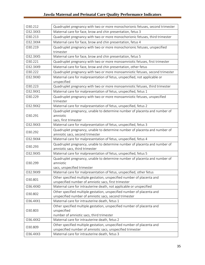| 030.212  | Quadruplet pregnancy with two or more monochorionic fetuses, second trimester                                               |
|----------|-----------------------------------------------------------------------------------------------------------------------------|
| O32.3XX3 | Maternal care for face, brow and chin presentation, fetus 3                                                                 |
| 030.213  | Quadruplet pregnancy with two or more monochorionic fetuses, third trimester                                                |
| O32.3XX4 | Maternal care for face, brow and chin presentation, fetus 4                                                                 |
| 030.219  | Quadruplet pregnancy with two or more monochorionic fetuses, unspecified                                                    |
|          | trimester                                                                                                                   |
| O32.3XX5 | Maternal care for face, brow and chin presentation, fetus 5                                                                 |
| 030.221  | Quadruplet pregnancy with two or more monoamniotic fetuses, first trimester                                                 |
| O32.3XX9 | Maternal care for face, brow and chin presentation, other fetus                                                             |
| 030.222  | Quadruplet pregnancy with two or more monoamniotic fetuses, second trimester                                                |
| O32.9XX0 | Maternal care for malpresentation of fetus, unspecified, not applicable or<br>unspecified                                   |
| 030.223  | Quadruplet pregnancy with two or more monoamniotic fetuses, third trimester                                                 |
| O32.9XX1 | Maternal care for malpresentation of fetus, unspecified, fetus 1                                                            |
| 030.229  | Quadruplet pregnancy with two or more monoamniotic fetuses, unspecified<br>trimester                                        |
| O32.9XX2 | Maternal care for malpresentation of fetus, unspecified, fetus 2                                                            |
|          | Quadruplet pregnancy, unable to determine number of placenta and number of                                                  |
| 030.291  | amniotic                                                                                                                    |
|          | sacs, first trimester                                                                                                       |
| O32.9XX3 | Maternal care for malpresentation of fetus, unspecified, fetus 3                                                            |
| 030.292  | Quadruplet pregnancy, unable to determine number of placenta and number of<br>amniotic sacs, second trimester               |
| O32.9XX4 | Maternal care for malpresentation of fetus, unspecified, fetus 4                                                            |
|          | Quadruplet pregnancy, unable to determine number of placenta and number of                                                  |
| 030.293  | amniotic sacs, third trimester                                                                                              |
| O32.9XX5 | Maternal care for malpresentation of fetus, unspecified, fetus 5                                                            |
|          | Quadruplet pregnancy, unable to determine number of placenta and number of                                                  |
| 030.299  | amniotic                                                                                                                    |
|          | sacs, unspecified trimester                                                                                                 |
| O32.9XX9 | Maternal care for malpresentation of fetus, unspecified, other fetus                                                        |
| 030.801  | Other specified multiple gestation, unspecified number of placenta and                                                      |
| O36.4XX0 | unspecified number of amniotic sacs, first trimester<br>Maternal care for intrauterine death, not applicable or unspecified |
|          | Other specified multiple gestation, unspecified number of placenta and                                                      |
| 030.802  | unspecified number of amniotic sacs, second trimester                                                                       |
| O36.4XX1 | Maternal care for intrauterine death, fetus 1                                                                               |
|          | Other specified multiple gestation, unspecified number of placenta and                                                      |
| O30.803  | unspecified                                                                                                                 |
|          | number of amniotic sacs, third trimester                                                                                    |
| O36.4XX2 | Maternal care for intrauterine death, fetus 2                                                                               |
| 030.809  | Other specified multiple gestation, unspecified number of placenta and                                                      |
|          | unspecified number of amniotic sacs, unspecified trimester                                                                  |
| O36.4XX3 | Maternal care for intrauterine death, fetus 3                                                                               |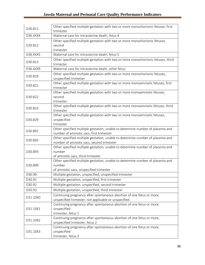| 030.811  | Other specified multiple gestation with two or more monochorionic fetuses, first<br>trimester                                       |
|----------|-------------------------------------------------------------------------------------------------------------------------------------|
| O36.4XX4 | Maternal care for intrauterine death, fetus 4                                                                                       |
| 030.812  | Other specified multiple gestation with two or more monochorionic fetuses,<br>second<br>trimester                                   |
| O36.4XX5 | Maternal care for intrauterine death, fetus 5                                                                                       |
| 030.813  | Other specified multiple gestation with two or more monochorionic fetuses, third<br>trimester                                       |
| O36.4XX9 | Maternal care for intrauterine death, other fetus                                                                                   |
| 030.819  | Other specified multiple gestation with two or more monochorionic fetuses,<br>unspecified trimester                                 |
| 030.821  | Other specified multiple gestation with two or more monoamniotic fetuses, first<br>trimester                                        |
| 030.822  | Other specified multiple gestation with two or more monoamniotic fetuses,<br>second<br>trimester                                    |
| 030.823  | Other specified multiple gestation with two or more monoamniotic fetuses, third<br>trimester                                        |
| 030.829  | Other specified multiple gestation with two or more monoamniotic fetuses,<br>unspecified<br>trimester                               |
| 030.891  | Other specified multiple gestation, unable to determine number of placenta and<br>number of amniotic sacs, first trimester          |
| 030.892  | Other specified multiple gestation, unable to determine number of placenta and<br>number of amniotic sacs, second trimester         |
| 030.893  | Other specified multiple gestation, unable to determine number of placenta and<br>number<br>of amniotic sacs, third trimester       |
| O30.899  | Other specified multiple gestation, unable to determine number of placenta and<br>number<br>of amniotic sacs, unspecified trimester |
| 030.90   | Multiple gestation, unspecified, unspecified trimester                                                                              |
| 030.91   | Multiple gestation, unspecified, first trimester                                                                                    |
| 030.92   | Multiple gestation, unspecified, second trimester                                                                                   |
| 030.93   | Multiple gestation, unspecified, third trimester                                                                                    |
| O31.10X0 | Continuing pregnancy after spontaneous abortion of one fetus or more,<br>unspecified trimester, not applicable or unspecified       |
| O31.10X1 | Continuing pregnancy after spontaneous abortion of one fetus or more,<br>unspecified<br>trimester, fetus 1                          |
| O31.10X2 | Continuing pregnancy after spontaneous abortion of one fetus or more,<br>unspecified trimester, fetus 2                             |
| O31.10X3 | Continuing pregnancy after spontaneous abortion of one fetus or more,<br>unspecified<br>trimester, fetus 3                          |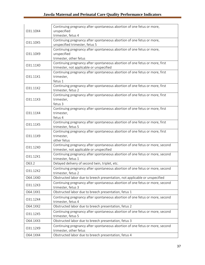| O31.10X4 | Continuing pregnancy after spontaneous abortion of one fetus or more,                                  |
|----------|--------------------------------------------------------------------------------------------------------|
|          | unspecified                                                                                            |
| O31.10X5 | trimester, fetus 4<br>Continuing pregnancy after spontaneous abortion of one fetus or more,            |
|          | unspecified trimester, fetus 5                                                                         |
|          | Continuing pregnancy after spontaneous abortion of one fetus or more,                                  |
| O31.10X9 | unspecified                                                                                            |
|          | trimester, other fetus                                                                                 |
| O31.11X0 | Continuing pregnancy after spontaneous abortion of one fetus or more, first                            |
|          | trimester, not applicable or unspecified                                                               |
|          | Continuing pregnancy after spontaneous abortion of one fetus or more, first                            |
| O31.11X1 | trimester,                                                                                             |
|          | fetus 1                                                                                                |
| O31.11X2 | Continuing pregnancy after spontaneous abortion of one fetus or more, first                            |
|          | trimester, fetus 2                                                                                     |
|          | Continuing pregnancy after spontaneous abortion of one fetus or more, first<br>trimester,              |
| O31.11X3 | fetus 3                                                                                                |
|          | Continuing pregnancy after spontaneous abortion of one fetus or more, first                            |
| O31.11X4 | trimester,                                                                                             |
|          | fetus 4                                                                                                |
|          | Continuing pregnancy after spontaneous abortion of one fetus or more, first                            |
| O31.11X5 | trimester, fetus 5                                                                                     |
|          | Continuing pregnancy after spontaneous abortion of one fetus or more, first                            |
| O31.11X9 | trimester,                                                                                             |
|          | other fetus                                                                                            |
| O31.12X0 | Continuing pregnancy after spontaneous abortion of one fetus or more, second                           |
|          | trimester, not applicable or unspecified                                                               |
| O31.12X1 | Continuing pregnancy after spontaneous abortion of one fetus or more, second<br>trimester, fetus 1     |
| O63.2    | Delayed delivery of second twin, triplet, etc.                                                         |
|          | Continuing pregnancy after spontaneous abortion of one fetus or more, second                           |
| O31.12X2 | trimester, fetus 2                                                                                     |
| O64.1XX0 | Obstructed labor due to breech presentation, not applicable or unspecified                             |
|          | Continuing pregnancy after spontaneous abortion of one fetus or more, second                           |
| O31.12X3 | trimester, fetus 3                                                                                     |
| O64.1XX1 | Obstructed labor due to breech presentation, fetus 1                                                   |
|          | Continuing pregnancy after spontaneous abortion of one fetus or more, second                           |
| O31.12X4 | trimester, fetus 4                                                                                     |
| O64.1XX2 | Obstructed labor due to breech presentation, fetus 2                                                   |
|          | Continuing pregnancy after spontaneous abortion of one fetus or more, second                           |
| O31.12X5 | trimester, fetus 5                                                                                     |
| O64.1XX3 | Obstructed labor due to breech presentation, fetus 3                                                   |
| O31.12X9 | Continuing pregnancy after spontaneous abortion of one fetus or more, second<br>trimester, other fetus |
| O64.1XX4 | Obstructed labor due to breech presentation, fetus 4                                                   |
|          |                                                                                                        |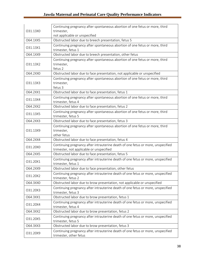| O31.13X0 | Continuing pregnancy after spontaneous abortion of one fetus or more, third                                                 |
|----------|-----------------------------------------------------------------------------------------------------------------------------|
|          | trimester,<br>not applicable or unspecified                                                                                 |
| O64.1XX5 | Obstructed labor due to breech presentation, fetus 5                                                                        |
|          | Continuing pregnancy after spontaneous abortion of one fetus or more, third                                                 |
| O31.13X1 | trimester, fetus 1                                                                                                          |
| O64.1XX9 | Obstructed labor due to breech presentation, other fetus                                                                    |
| O31.13X2 | Continuing pregnancy after spontaneous abortion of one fetus or more, third<br>trimester,<br>fetus 2                        |
| O64.2XX0 | Obstructed labor due to face presentation, not applicable or unspecified                                                    |
| O31.13X3 | Continuing pregnancy after spontaneous abortion of one fetus or more, third<br>trimester,<br>fetus 3                        |
| O64.2XX1 | Obstructed labor due to face presentation, fetus 1                                                                          |
| O31.13X4 | Continuing pregnancy after spontaneous abortion of one fetus or more, third<br>trimester, fetus 4                           |
| O64.2XX2 | Obstructed labor due to face presentation, fetus 2                                                                          |
| O31.13X5 | Continuing pregnancy after spontaneous abortion of one fetus or more, third<br>trimester, fetus 5                           |
| O64.2XX3 | Obstructed labor due to face presentation, fetus 3                                                                          |
| O31.13X9 | Continuing pregnancy after spontaneous abortion of one fetus or more, third<br>trimester,<br>other fetus                    |
| O64.2XX4 | Obstructed labor due to face presentation, fetus 4                                                                          |
| O31.20X0 | Continuing pregnancy after intrauterine death of one fetus or more, unspecified<br>trimester, not applicable or unspecified |
| O64.2XX5 | Obstructed labor due to face presentation, fetus 5                                                                          |
| O31.20X1 | Continuing pregnancy after intrauterine death of one fetus or more, unspecified<br>trimester, fetus 1                       |
| O64.2XX9 | Obstructed labor due to face presentation, other fetus                                                                      |
| O31.20X2 | Continuing pregnancy after intrauterine death of one fetus or more, unspecified<br>trimester, fetus 2                       |
| O64.3XX0 | Obstructed labor due to brow presentation, not applicable or unspecified                                                    |
| O31.20X3 | Continuing pregnancy after intrauterine death of one fetus or more, unspecified<br>trimester, fetus 3                       |
| O64.3XX1 | Obstructed labor due to brow presentation, fetus 1                                                                          |
| O31.20X4 | Continuing pregnancy after intrauterine death of one fetus or more, unspecified<br>trimester, fetus 4                       |
| O64.3XX2 | Obstructed labor due to brow presentation, fetus 2                                                                          |
| O31.20X5 | Continuing pregnancy after intrauterine death of one fetus or more, unspecified<br>trimester, fetus 5                       |
| O64.3XX3 | Obstructed labor due to brow presentation, fetus 3                                                                          |
| O31.20X9 | Continuing pregnancy after intrauterine death of one fetus or more, unspecified<br>trimester, other fetus                   |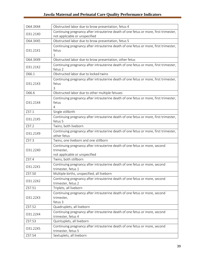| O64.3XX4 | Obstructed labor due to brow presentation, fetus 4                                                                        |
|----------|---------------------------------------------------------------------------------------------------------------------------|
| O31.21X0 | Continuing pregnancy after intrauterine death of one fetus or more, first trimester,<br>not applicable or unspecified     |
| O64.3XX5 | Obstructed labor due to brow presentation, fetus 5                                                                        |
| O31.21X1 | Continuing pregnancy after intrauterine death of one fetus or more, first trimester,<br>fetus<br>1                        |
| O64.3XX9 | Obstructed labor due to brow presentation, other fetus                                                                    |
| O31.21X2 | Continuing pregnancy after intrauterine death of one fetus or more, first trimester,<br>fetus <sub>2</sub>                |
| 066.1    | Obstructed labor due to locked twins                                                                                      |
| O31.21X3 | Continuing pregnancy after intrauterine death of one fetus or more, first trimester,<br>fetus<br>3                        |
| 066.6    | Obstructed labor due to other multiple fetuses                                                                            |
| O31.21X4 | Continuing pregnancy after intrauterine death of one fetus or more, first trimester,<br>fetus<br>4                        |
| Z37.1    | Single stillbirth                                                                                                         |
| O31.21X5 | Continuing pregnancy after intrauterine death of one fetus or more, first trimester,<br>fetus 5                           |
| Z37.2    | Twins, both liveborn                                                                                                      |
| O31.21X9 | Continuing pregnancy after intrauterine death of one fetus or more, first trimester,<br>other fetus                       |
| Z37.3    | Twins, one liveborn and one stillborn                                                                                     |
| O31.22X0 | Continuing pregnancy after intrauterine death of one fetus or more, second<br>trimester,<br>not applicable or unspecified |
| Z37.4    | Twins, both stillborn                                                                                                     |
| O31.22X1 | Continuing pregnancy after intrauterine death of one fetus or more, second<br>trimester, fetus 1                          |
| Z37.50   | Multiple births, unspecified, all liveborn                                                                                |
| O31.22X2 | Continuing pregnancy after intrauterine death of one fetus or more, second<br>trimester, fetus 2                          |
| Z37.51   | Triplets, all liveborn                                                                                                    |
| O31.22X3 | Continuing pregnancy after intrauterine death of one fetus or more, second<br>trimester,<br>fetus 3                       |
| Z37.52   | Quadruplets, all liveborn                                                                                                 |
| O31.22X4 | Continuing pregnancy after intrauterine death of one fetus or more, second<br>trimester, fetus 4                          |
| Z37.53   | Quintuplets, all liveborn                                                                                                 |
| O31.22X5 | Continuing pregnancy after intrauterine death of one fetus or more, second<br>trimester, fetus 5                          |
| Z37.54   | Sextuplets, all liveborn                                                                                                  |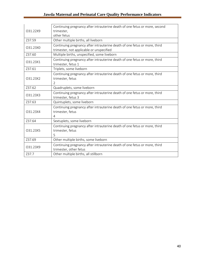F

| O31.22X9 | Continuing pregnancy after intrauterine death of one fetus or more, second<br>trimester,<br>other fetus               |
|----------|-----------------------------------------------------------------------------------------------------------------------|
| Z37.59   | Other multiple births, all liveborn                                                                                   |
| O31.23X0 | Continuing pregnancy after intrauterine death of one fetus or more, third<br>trimester, not applicable or unspecified |
| Z37.60   | Multiple births, unspecified, some liveborn                                                                           |
| O31.23X1 | Continuing pregnancy after intrauterine death of one fetus or more, third<br>trimester, fetus 1                       |
| Z37.61   | Triplets, some liveborn                                                                                               |
| O31.23X2 | Continuing pregnancy after intrauterine death of one fetus or more, third<br>trimester, fetus<br>$\mathcal{P}$        |
| Z37.62   | Quadruplets, some liveborn                                                                                            |
| O31.23X3 | Continuing pregnancy after intrauterine death of one fetus or more, third<br>trimester, fetus 3                       |
| Z37.63   | Quintuplets, some liveborn                                                                                            |
| O31.23X4 | Continuing pregnancy after intrauterine death of one fetus or more, third<br>trimester, fetus<br>$\overline{4}$       |
| Z37.64   | Sextuplets, some liveborn                                                                                             |
| O31.23X5 | Continuing pregnancy after intrauterine death of one fetus or more, third<br>trimester, fetus<br>5                    |
| Z37.69   | Other multiple births, some liveborn                                                                                  |
| O31.23X9 | Continuing pregnancy after intrauterine death of one fetus or more, third<br>trimester, other fetus                   |
| Z37.7    | Other multiple births, all stillborn                                                                                  |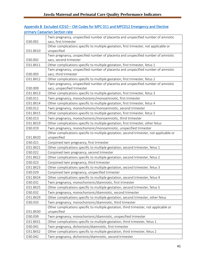|          | Appendix Billexciuded iCD10 = Civi Codes for iVIPC 011 and iVIPC012 Emergency and Elective                  |
|----------|-------------------------------------------------------------------------------------------------------------|
|          | primary Caesarian Section rate                                                                              |
|          | Twin pregnancy, unspecified number of placenta and unspecified number of amniotic                           |
| 030.001  | sacs, first trimester                                                                                       |
|          | Other complications specific to multiple gestation, first trimester, not applicable or                      |
| O31.8X10 | unspecified                                                                                                 |
|          | Twin pregnancy, unspecified number of placenta and unspecified number of amniotic                           |
| 030.002  | sacs, second trimester                                                                                      |
| O31.8X11 | Other complications specific to multiple gestation, first trimester, fetus 1                                |
|          | Twin pregnancy, unspecified number of placenta and unspecified number of amniotic                           |
| 030.003  | sacs, third trimester                                                                                       |
| O31.8X12 | Other complications specific to multiple gestation, first trimester, fetus 2                                |
| O30.009  | Twin pregnancy, unspecified number of placenta and unspecified number of amniotic                           |
|          | sacs, unspecified trimester<br>Other complications specific to multiple gestation, first trimester, fetus 3 |
| O31.8X13 |                                                                                                             |
| 030.011  | Twin pregnancy, monochorionic/monoamniotic, first trimester                                                 |
| O31.8X14 | Other complications specific to multiple gestation, first trimester, fetus 4                                |
| 030.012  | Twin pregnancy, monochorionic/monoamniotic, second trimester                                                |
| O31.8X15 | Other complications specific to multiple gestation, first trimester, fetus 5                                |
| 030.013  | Twin pregnancy, monochorionic/monoamniotic, third trimester                                                 |
| O31.8X19 | Other complications specific to multiple gestation, first trimester, other fetus                            |
| 030.019  | Twin pregnancy, monochorionic/monoamniotic, unspecified trimester                                           |
|          | Other complications specific to multiple gestation, second trimester, not applicable or                     |
| O31.8X20 | unspecified                                                                                                 |
| 030.021  | Conjoined twin pregnancy, first trimester                                                                   |
| O31.8X21 | Other complications specific to multiple gestation, second trimester, fetus 1                               |
| 030.022  | Conjoined twin pregnancy, second trimester                                                                  |
| O31.8X22 | Other complications specific to multiple gestation, second trimester, fetus 2                               |
| 030.023  | Conjoined twin pregnancy, third trimester                                                                   |
| O31.8X23 | Other complications specific to multiple gestation, second trimester, fetus 3                               |
| 030.029  | Conjoined twin pregnancy, unspecified trimester                                                             |
| O31.8X24 | Other complications specific to multiple gestation, second trimester, fetus 4                               |
| 030.031  | Twin pregnancy, monochorionic/diamniotic, first trimester                                                   |
| O31.8X25 | Other complications specific to multiple gestation, second trimester, fetus 5                               |
| 030.032  | Twin pregnancy, monochorionic/diamniotic, second trimester                                                  |
| O31.8X29 | Other complications specific to multiple gestation, second trimester, other fetus                           |
| 030.033  | Twin pregnancy, monochorionic/diamniotic, third trimester                                                   |
|          | Other complications specific to multiple gestation, third trimester, not applicable or                      |
| O31.8X30 | unspecified                                                                                                 |
| 030.039  | Twin pregnancy, monochorionic/diamniotic, unspecified trimester                                             |
| O31.8X31 | Other complications specific to multiple gestation, third trimester, fetus 1                                |
| 030.041  | Twin pregnancy, dichorionic/diamniotic, first trimester                                                     |
| O31.8X32 | Other complications specific to multiple gestation, third trimester, fetus 2                                |
| 030.042  | Twin pregnancy, dichorionic/diamniotic, second trimester                                                    |

# <span id="page-40-0"></span>Appendix B Excluded ICD10 – [CM Codes for MPC 011 and MPC012 Emergency and Elective](file:///C:/Users/odualeh/AppData/Local/Microsoft/Windows/INetCache/Content.Outlook/L3EDJJO2/JawdaHospital-Appendix1_3%20Codes.xlsx)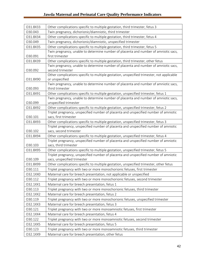| O31.8X33 | Other complications specific to multiple gestation, third trimester, fetus 3                                                                                               |  |
|----------|----------------------------------------------------------------------------------------------------------------------------------------------------------------------------|--|
| 030.043  | Twin pregnancy, dichorionic/diamniotic, third trimester                                                                                                                    |  |
| O31.8X34 | Other complications specific to multiple gestation, third trimester, fetus 4                                                                                               |  |
| O30.049  | Twin pregnancy, dichorionic/diamniotic, unspecified trimester                                                                                                              |  |
| O31.8X35 | Other complications specific to multiple gestation, third trimester, fetus 5                                                                                               |  |
|          | Twin pregnancy, unable to determine number of placenta and number of amniotic sacs,                                                                                        |  |
| 030.091  | first trimester                                                                                                                                                            |  |
| O31.8X39 | Other complications specific to multiple gestation, third trimester, other fetus                                                                                           |  |
|          | Twin pregnancy, unable to determine number of placenta and number of amniotic sacs,                                                                                        |  |
| O30.092  | second trimester                                                                                                                                                           |  |
|          | Other complications specific to multiple gestation, unspecified trimester, not applicable                                                                                  |  |
| O31.8X90 | or unspecified                                                                                                                                                             |  |
|          | Twin pregnancy, unable to determine number of placenta and number of amniotic sacs,                                                                                        |  |
| O30.093  | third trimester                                                                                                                                                            |  |
| O31.8X91 | Other complications specific to multiple gestation, unspecified trimester, fetus 1                                                                                         |  |
|          | Twin pregnancy, unable to determine number of placenta and number of amniotic sacs,                                                                                        |  |
| O30.099  | unspecified trimester                                                                                                                                                      |  |
| O31.8X92 | Other complications specific to multiple gestation, unspecified trimester, fetus 2                                                                                         |  |
|          | Triplet pregnancy, unspecified number of placenta and unspecified number of amniotic                                                                                       |  |
| 030.101  | sacs, first trimester                                                                                                                                                      |  |
| O31.8X93 | Other complications specific to multiple gestation, unspecified trimester, fetus 3<br>Triplet pregnancy, unspecified number of placenta and unspecified number of amniotic |  |
| 030.102  | sacs, second trimester                                                                                                                                                     |  |
| O31.8X94 | Other complications specific to multiple gestation, unspecified trimester, fetus 4                                                                                         |  |
|          |                                                                                                                                                                            |  |
| 030.103  | Triplet pregnancy, unspecified number of placenta and unspecified number of amniotic<br>sacs, third trimester                                                              |  |
| O31.8X95 | Other complications specific to multiple gestation, unspecified trimester, fetus 5                                                                                         |  |
|          | Triplet pregnancy, unspecified number of placenta and unspecified number of amniotic                                                                                       |  |
| 030.109  | sacs, unspecified trimester                                                                                                                                                |  |
| O31.8X99 | Other complications specific to multiple gestation, unspecified trimester, other fetus                                                                                     |  |
| 030.111  | Triplet pregnancy with two or more monochorionic fetuses, first trimester                                                                                                  |  |
| O32.1XX0 | Maternal care for breech presentation, not applicable or unspecified                                                                                                       |  |
| 030.112  | Triplet pregnancy with two or more monochorionic fetuses, second trimester                                                                                                 |  |
| O32.1XX1 | Maternal care for breech presentation, fetus 1                                                                                                                             |  |
| 030.113  | Triplet pregnancy with two or more monochorionic fetuses, third trimester                                                                                                  |  |
| O32.1XX2 | Maternal care for breech presentation, fetus 2                                                                                                                             |  |
| 030.119  | Triplet pregnancy with two or more monochorionic fetuses, unspecified trimester                                                                                            |  |
| O32.1XX3 | Maternal care for breech presentation, fetus 3                                                                                                                             |  |
| 030.121  | Triplet pregnancy with two or more monoamniotic fetuses, first trimester                                                                                                   |  |
| O32.1XX4 | Maternal care for breech presentation, fetus 4                                                                                                                             |  |
| 030.122  | Triplet pregnancy with two or more monoamniotic fetuses, second trimester                                                                                                  |  |
| O32.1XX5 | Maternal care for breech presentation, fetus 5                                                                                                                             |  |
| 030.123  | Triplet pregnancy with two or more monoamniotic fetuses, third trimester                                                                                                   |  |
|          |                                                                                                                                                                            |  |
| O32.1XX9 | Maternal care for breech presentation, other fetus                                                                                                                         |  |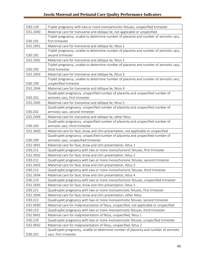| 030.129  | Triplet pregnancy with two or more monoamniotic fetuses, unspecified trimester                                   |  |  |
|----------|------------------------------------------------------------------------------------------------------------------|--|--|
| O32.2XX0 | Maternal care for transverse and oblique lie, not applicable or unspecified                                      |  |  |
|          | Triplet pregnancy, unable to determine number of placenta and number of amniotic sacs,                           |  |  |
| 030.191  | first trimester                                                                                                  |  |  |
| O32.2XX1 | Maternal care for transverse and oblique lie, fetus 1                                                            |  |  |
|          | Triplet pregnancy, unable to determine number of placenta and number of amniotic sacs,                           |  |  |
| 030.192  | second trimester                                                                                                 |  |  |
| O32.2XX2 | Maternal care for transverse and oblique lie, fetus 2                                                            |  |  |
|          | Triplet pregnancy, unable to determine number of placenta and number of amniotic sacs,                           |  |  |
| 030.193  | third trimester                                                                                                  |  |  |
| O32.2XX3 | Maternal care for transverse and oblique lie, fetus 3                                                            |  |  |
|          | Triplet pregnancy, unable to determine number of placenta and number of amniotic sacs,                           |  |  |
| 030.199  | unspecified trimester                                                                                            |  |  |
| O32.2XX4 | Maternal care for transverse and oblique lie, fetus 4                                                            |  |  |
| 030.201  | Quadruplet pregnancy, unspecified number of placenta and unspecified number of<br>amniotic sacs, first trimester |  |  |
| O32.2XX5 | Maternal care for transverse and oblique lie, fetus 5                                                            |  |  |
|          | Quadruplet pregnancy, unspecified number of placenta and unspecified number of                                   |  |  |
| 030.202  | amniotic sacs, second trimester                                                                                  |  |  |
| O32.2XX9 | Maternal care for transverse and oblique lie, other fetus                                                        |  |  |
|          | Quadruplet pregnancy, unspecified number of placenta and unspecified number of                                   |  |  |
| 030.203  | amniotic sacs, third trimester                                                                                   |  |  |
| O32.3XX0 | Maternal care for face, brow and chin presentation, not applicable or unspecified                                |  |  |
|          | Quadruplet pregnancy, unspecified number of placenta and unspecified number of                                   |  |  |
| 030.209  | amniotic sacs, unspecified trimester                                                                             |  |  |
| O32.3XX1 | Maternal care for face, brow and chin presentation, fetus 1                                                      |  |  |
| 030.211  | Quadruplet pregnancy with two or more monochorionic fetuses, first trimester                                     |  |  |
| O32.3XX2 | Maternal care for face, brow and chin presentation, fetus 2                                                      |  |  |
| 030.212  | Quadruplet pregnancy with two or more monochorionic fetuses, second trimester                                    |  |  |
| O32.3XX3 | Maternal care for face, brow and chin presentation, fetus 3                                                      |  |  |
| 030.213  | Quadruplet pregnancy with two or more monochorionic fetuses, third trimester                                     |  |  |
| O32.3XX4 | Maternal care for face, brow and chin presentation, fetus 4                                                      |  |  |
| 030.219  | Quadruplet pregnancy with two or more monochorionic fetuses, unspecified trimester                               |  |  |
| O32.3XX5 | Maternal care for face, brow and chin presentation, fetus 5                                                      |  |  |
| 030.221  | Quadruplet pregnancy with two or more monoamniotic fetuses, first trimester                                      |  |  |
| O32.3XX9 | Maternal care for face, brow and chin presentation, other fetus                                                  |  |  |
| 030.222  | Quadruplet pregnancy with two or more monoamniotic fetuses, second trimester                                     |  |  |
| O32.9XX0 | Maternal care for malpresentation of fetus, unspecified, not applicable or unspecified                           |  |  |
| 030.223  | Quadruplet pregnancy with two or more monoamniotic fetuses, third trimester                                      |  |  |
| O32.9XX1 | Maternal care for malpresentation of fetus, unspecified, fetus 1                                                 |  |  |
| 030.229  | Quadruplet pregnancy with two or more monoamniotic fetuses, unspecified trimester                                |  |  |
| O32.9XX2 | Maternal care for malpresentation of fetus, unspecified, fetus 2                                                 |  |  |
|          | Quadruplet pregnancy, unable to determine number of placenta and number of amniotic                              |  |  |
| 030.291  | sacs, first trimester                                                                                            |  |  |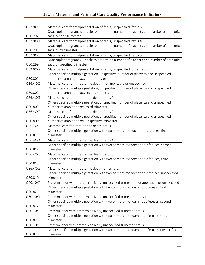| O32.9XX3 | Maternal care for malpresentation of fetus, unspecified, fetus 3                              |  |  |
|----------|-----------------------------------------------------------------------------------------------|--|--|
|          | Quadruplet pregnancy, unable to determine number of placenta and number of amniotic           |  |  |
| 030.292  | sacs, second trimester                                                                        |  |  |
| O32.9XX4 | Maternal care for malpresentation of fetus, unspecified, fetus 4                              |  |  |
|          | Quadruplet pregnancy, unable to determine number of placenta and number of amniotic           |  |  |
| 030.293  | sacs, third trimester                                                                         |  |  |
| O32.9XX5 | Maternal care for malpresentation of fetus, unspecified, fetus 5                              |  |  |
|          | Quadruplet pregnancy, unable to determine number of placenta and number of amniotic           |  |  |
| 030.299  | sacs, unspecified trimester                                                                   |  |  |
| O32.9XX9 | Maternal care for malpresentation of fetus, unspecified, other fetus                          |  |  |
|          | Other specified multiple gestation, unspecified number of placenta and unspecified            |  |  |
| 030.801  | number of amniotic sacs, first trimester                                                      |  |  |
| O36.4XX0 | Maternal care for intrauterine death, not applicable or unspecified                           |  |  |
|          | Other specified multiple gestation, unspecified number of placenta and unspecified            |  |  |
| 030.802  | number of amniotic sacs, second trimester                                                     |  |  |
| O36.4XX1 | Maternal care for intrauterine death, fetus 1                                                 |  |  |
| O30.803  | Other specified multiple gestation, unspecified number of placenta and unspecified            |  |  |
|          | number of amniotic sacs, third trimester                                                      |  |  |
| O36.4XX2 | Maternal care for intrauterine death, fetus 2                                                 |  |  |
| O30.809  | Other specified multiple gestation, unspecified number of placenta and unspecified            |  |  |
|          | number of amniotic sacs, unspecified trimester                                                |  |  |
| O36.4XX3 | Maternal care for intrauterine death, fetus 3                                                 |  |  |
| 030.811  | Other specified multiple gestation with two or more monochorionic fetuses, first<br>trimester |  |  |
| O36.4XX4 | Maternal care for intrauterine death, fetus 4                                                 |  |  |
|          | Other specified multiple gestation with two or more monochorionic fetuses, second             |  |  |
| 030.812  | trimester                                                                                     |  |  |
| O36.4XX5 | Maternal care for intrauterine death, fetus 5                                                 |  |  |
|          | Other specified multiple gestation with two or more monochorionic fetuses, third              |  |  |
| 030.813  | trimester                                                                                     |  |  |
| O36.4XX9 | Maternal care for intrauterine death, other fetus                                             |  |  |
|          | Other specified multiple gestation with two or more monochorionic fetuses, unspecified        |  |  |
| 030.819  | trimester                                                                                     |  |  |
| O60.10X0 | Preterm labor with preterm delivery, unspecified trimester, not applicable or unspecified     |  |  |
|          | Other specified multiple gestation with two or more monoamniotic fetuses, first               |  |  |
| 030.821  | trimester                                                                                     |  |  |
| O60.10X1 | Preterm labor with preterm delivery, unspecified trimester, fetus 1                           |  |  |
|          | Other specified multiple gestation with two or more monoamniotic fetuses, second              |  |  |
| 030.822  | trimester                                                                                     |  |  |
| O60.10X2 | Preterm labor with preterm delivery, unspecified trimester, fetus 2                           |  |  |
|          | Other specified multiple gestation with two or more monoamniotic fetuses, third               |  |  |
| 030.823  | trimester                                                                                     |  |  |
| O60.10X3 | Preterm labor with preterm delivery, unspecified trimester, fetus 3                           |  |  |
|          | Other specified multiple gestation with two or more monoamniotic fetuses, unspecified         |  |  |
| 030.829  | trimester                                                                                     |  |  |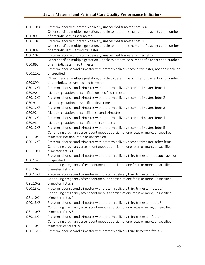| O60.10X4 | Preterm labor with preterm delivery, unspecified trimester, fetus 4                                         |  |  |
|----------|-------------------------------------------------------------------------------------------------------------|--|--|
|          | Other specified multiple gestation, unable to determine number of placenta and number                       |  |  |
| 030.891  | of amniotic sacs, first trimester                                                                           |  |  |
| O60.10X5 | Preterm labor with preterm delivery, unspecified trimester, fetus 5                                         |  |  |
|          | Other specified multiple gestation, unable to determine number of placenta and number                       |  |  |
| 030.892  | of amniotic sacs, second trimester                                                                          |  |  |
| O60.10X9 | Preterm labor with preterm delivery, unspecified trimester, other fetus                                     |  |  |
|          | Other specified multiple gestation, unable to determine number of placenta and number                       |  |  |
| 030.893  | of amniotic sacs, third trimester                                                                           |  |  |
|          | Preterm labor second trimester with preterm delivery second trimester, not applicable or                    |  |  |
| O60.12X0 | unspecified                                                                                                 |  |  |
|          | Other specified multiple gestation, unable to determine number of placenta and number                       |  |  |
| 030.899  | of amniotic sacs, unspecified trimester                                                                     |  |  |
| O60.12X1 | Preterm labor second trimester with preterm delivery second trimester, fetus 1                              |  |  |
| 030.90   | Multiple gestation, unspecified, unspecified trimester                                                      |  |  |
| O60.12X2 | Preterm labor second trimester with preterm delivery second trimester, fetus 2                              |  |  |
| 030.91   | Multiple gestation, unspecified, first trimester                                                            |  |  |
| O60.12X3 | Preterm labor second trimester with preterm delivery second trimester, fetus 3                              |  |  |
| 030.92   | Multiple gestation, unspecified, second trimester                                                           |  |  |
| O60.12X4 | Preterm labor second trimester with preterm delivery second trimester, fetus 4                              |  |  |
| 030.93   | Multiple gestation, unspecified, third trimester                                                            |  |  |
| O60.12X5 | Preterm labor second trimester with preterm delivery second trimester, fetus 5                              |  |  |
|          | Continuing pregnancy after spontaneous abortion of one fetus or more, unspecified                           |  |  |
| O31.10X0 | trimester, not applicable or unspecified                                                                    |  |  |
| O60.12X9 | Preterm labor second trimester with preterm delivery second trimester, other fetus                          |  |  |
|          | Continuing pregnancy after spontaneous abortion of one fetus or more, unspecified                           |  |  |
| O31.10X1 | trimester, fetus 1                                                                                          |  |  |
|          | Preterm labor second trimester with preterm delivery third trimester, not applicable or                     |  |  |
| O60.13X0 | unspecified                                                                                                 |  |  |
|          | Continuing pregnancy after spontaneous abortion of one fetus or more, unspecified                           |  |  |
| O31.10X2 | trimester, fetus 2                                                                                          |  |  |
| O60.13X1 | Preterm labor second trimester with preterm delivery third trimester, fetus 1                               |  |  |
|          | Continuing pregnancy after spontaneous abortion of one fetus or more, unspecified                           |  |  |
| O31.10X3 | trimester, fetus 3                                                                                          |  |  |
| O60.13X2 | Preterm labor second trimester with preterm delivery third trimester, fetus 2                               |  |  |
|          | Continuing pregnancy after spontaneous abortion of one fetus or more, unspecified                           |  |  |
| O31.10X4 | trimester, fetus 4                                                                                          |  |  |
| O60.13X3 | Preterm labor second trimester with preterm delivery third trimester, fetus 3                               |  |  |
|          | Continuing pregnancy after spontaneous abortion of one fetus or more, unspecified                           |  |  |
| O31.10X5 | trimester, fetus 5                                                                                          |  |  |
| O60.13X4 | Preterm labor second trimester with preterm delivery third trimester, fetus 4                               |  |  |
| O31.10X9 | Continuing pregnancy after spontaneous abortion of one fetus or more, unspecified<br>trimester, other fetus |  |  |
| O60.13X5 | Preterm labor second trimester with preterm delivery third trimester, fetus 5                               |  |  |
|          |                                                                                                             |  |  |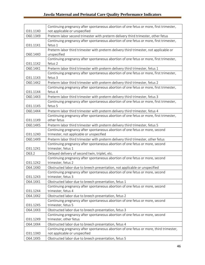| O31.11X0 | Continuing pregnancy after spontaneous abortion of one fetus or more, first trimester,<br>not applicable or unspecified |  |  |
|----------|-------------------------------------------------------------------------------------------------------------------------|--|--|
| O60.13X9 | Preterm labor second trimester with preterm delivery third trimester, other fetus                                       |  |  |
|          | Continuing pregnancy after spontaneous abortion of one fetus or more, first trimester,                                  |  |  |
| O31.11X1 | fetus 1                                                                                                                 |  |  |
|          | Preterm labor third trimester with preterm delivery third trimester, not applicable or                                  |  |  |
| O60.14X0 | unspecified                                                                                                             |  |  |
|          | Continuing pregnancy after spontaneous abortion of one fetus or more, first trimester,                                  |  |  |
| O31.11X2 | fetus 2                                                                                                                 |  |  |
| O60.14X1 | Preterm labor third trimester with preterm delivery third trimester, fetus 1                                            |  |  |
|          | Continuing pregnancy after spontaneous abortion of one fetus or more, first trimester,                                  |  |  |
| O31.11X3 | fetus 3                                                                                                                 |  |  |
| O60.14X2 | Preterm labor third trimester with preterm delivery third trimester, fetus 2                                            |  |  |
|          | Continuing pregnancy after spontaneous abortion of one fetus or more, first trimester,                                  |  |  |
| O31.11X4 | fetus 4                                                                                                                 |  |  |
| O60.14X3 | Preterm labor third trimester with preterm delivery third trimester, fetus 3                                            |  |  |
|          | Continuing pregnancy after spontaneous abortion of one fetus or more, first trimester,                                  |  |  |
| O31.11X5 | fetus 5                                                                                                                 |  |  |
| O60.14X4 | Preterm labor third trimester with preterm delivery third trimester, fetus 4                                            |  |  |
|          | Continuing pregnancy after spontaneous abortion of one fetus or more, first trimester,                                  |  |  |
| O31.11X9 | other fetus                                                                                                             |  |  |
| O60.14X5 | Preterm labor third trimester with preterm delivery third trimester, fetus 5                                            |  |  |
|          | Continuing pregnancy after spontaneous abortion of one fetus or more, second                                            |  |  |
| O31.12X0 | trimester, not applicable or unspecified                                                                                |  |  |
| O60.14X9 | Preterm labor third trimester with preterm delivery third trimester, other fetus                                        |  |  |
| O31.12X1 | Continuing pregnancy after spontaneous abortion of one fetus or more, second<br>trimester, fetus 1                      |  |  |
| 063.2    | Delayed delivery of second twin, triplet, etc.                                                                          |  |  |
|          | Continuing pregnancy after spontaneous abortion of one fetus or more, second                                            |  |  |
| O31.12X2 | trimester, fetus 2                                                                                                      |  |  |
| O64.1XX0 | Obstructed labor due to breech presentation, not applicable or unspecified                                              |  |  |
|          | Continuing pregnancy after spontaneous abortion of one fetus or more, second                                            |  |  |
| O31.12X3 | trimester, fetus 3                                                                                                      |  |  |
| O64.1XX1 | Obstructed labor due to breech presentation, fetus 1                                                                    |  |  |
|          | Continuing pregnancy after spontaneous abortion of one fetus or more, second                                            |  |  |
| O31.12X4 | trimester, fetus 4                                                                                                      |  |  |
| O64.1XX2 | Obstructed labor due to breech presentation, fetus 2                                                                    |  |  |
|          | Continuing pregnancy after spontaneous abortion of one fetus or more, second                                            |  |  |
| O31.12X5 | trimester, fetus 5                                                                                                      |  |  |
| O64.1XX3 | Obstructed labor due to breech presentation, fetus 3                                                                    |  |  |
|          | Continuing pregnancy after spontaneous abortion of one fetus or more, second                                            |  |  |
| O31.12X9 | trimester, other fetus                                                                                                  |  |  |
| O64.1XX4 | Obstructed labor due to breech presentation, fetus 4                                                                    |  |  |
|          | Continuing pregnancy after spontaneous abortion of one fetus or more, third trimester,                                  |  |  |
| O31.13X0 | not applicable or unspecified                                                                                           |  |  |
| O64.1XX5 | Obstructed labor due to breech presentation, fetus 5                                                                    |  |  |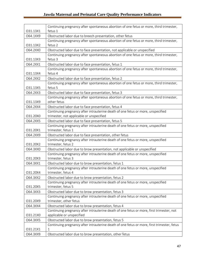| O31.13X1 | Continuing pregnancy after spontaneous abortion of one fetus or more, third trimester,<br>fetus 1                                                           |  |  |
|----------|-------------------------------------------------------------------------------------------------------------------------------------------------------------|--|--|
| O64.1XX9 |                                                                                                                                                             |  |  |
|          | Obstructed labor due to breech presentation, other fetus<br>Continuing pregnancy after spontaneous abortion of one fetus or more, third trimester,          |  |  |
| O31.13X2 | fetus 2                                                                                                                                                     |  |  |
| O64.2XX0 | Obstructed labor due to face presentation, not applicable or unspecified                                                                                    |  |  |
|          | Continuing pregnancy after spontaneous abortion of one fetus or more, third trimester,                                                                      |  |  |
| O31.13X3 | fetus 3                                                                                                                                                     |  |  |
| O64.2XX1 | Obstructed labor due to face presentation, fetus 1                                                                                                          |  |  |
|          | Continuing pregnancy after spontaneous abortion of one fetus or more, third trimester,                                                                      |  |  |
| O31.13X4 | fetus 4                                                                                                                                                     |  |  |
| O64.2XX2 | Obstructed labor due to face presentation, fetus 2                                                                                                          |  |  |
|          | Continuing pregnancy after spontaneous abortion of one fetus or more, third trimester,                                                                      |  |  |
| O31.13X5 | fetus 5                                                                                                                                                     |  |  |
| O64.2XX3 | Obstructed labor due to face presentation, fetus 3                                                                                                          |  |  |
|          | Continuing pregnancy after spontaneous abortion of one fetus or more, third trimester,                                                                      |  |  |
| O31.13X9 | other fetus                                                                                                                                                 |  |  |
| O64.2XX4 | Obstructed labor due to face presentation, fetus 4                                                                                                          |  |  |
|          | Continuing pregnancy after intrauterine death of one fetus or more, unspecified                                                                             |  |  |
| O31.20X0 | trimester, not applicable or unspecified                                                                                                                    |  |  |
| O64.2XX5 | Obstructed labor due to face presentation, fetus 5                                                                                                          |  |  |
|          | Continuing pregnancy after intrauterine death of one fetus or more, unspecified                                                                             |  |  |
| O31.20X1 | trimester, fetus 1                                                                                                                                          |  |  |
| O64.2XX9 | Obstructed labor due to face presentation, other fetus                                                                                                      |  |  |
|          | Continuing pregnancy after intrauterine death of one fetus or more, unspecified<br>trimester, fetus 2                                                       |  |  |
| O31.20X2 |                                                                                                                                                             |  |  |
| O64.3XX0 | Obstructed labor due to brow presentation, not applicable or unspecified<br>Continuing pregnancy after intrauterine death of one fetus or more, unspecified |  |  |
| O31.20X3 | trimester, fetus 3                                                                                                                                          |  |  |
| O64.3XX1 | Obstructed labor due to brow presentation, fetus 1                                                                                                          |  |  |
|          | Continuing pregnancy after intrauterine death of one fetus or more, unspecified                                                                             |  |  |
| O31.20X4 | trimester, fetus 4                                                                                                                                          |  |  |
| O64.3XX2 | Obstructed labor due to brow presentation, fetus 2                                                                                                          |  |  |
|          | Continuing pregnancy after intrauterine death of one fetus or more, unspecified                                                                             |  |  |
| O31.20X5 | trimester, fetus 5                                                                                                                                          |  |  |
| O64.3XX3 | Obstructed labor due to brow presentation, fetus 3                                                                                                          |  |  |
|          | Continuing pregnancy after intrauterine death of one fetus or more, unspecified                                                                             |  |  |
| O31.20X9 | trimester, other fetus                                                                                                                                      |  |  |
| O64.3XX4 | Obstructed labor due to brow presentation, fetus 4                                                                                                          |  |  |
|          | Continuing pregnancy after intrauterine death of one fetus or more, first trimester, not                                                                    |  |  |
| O31.21X0 | applicable or unspecified                                                                                                                                   |  |  |
| O64.3XX5 | Obstructed labor due to brow presentation, fetus 5                                                                                                          |  |  |
|          | Continuing pregnancy after intrauterine death of one fetus or more, first trimester, fetus                                                                  |  |  |
| O31.21X1 | 1                                                                                                                                                           |  |  |
| O64.3XX9 | Obstructed labor due to brow presentation, other fetus                                                                                                      |  |  |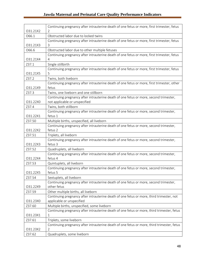# **Jawda Maternal and Perinatal Care Quality Performance Indicators**

|          | Continuing pregnancy after intrauterine death of one fetus or more, first trimester, fetus          |  |  |
|----------|-----------------------------------------------------------------------------------------------------|--|--|
| O31.21X2 | $\overline{2}$                                                                                      |  |  |
| 066.1    | Obstructed labor due to locked twins                                                                |  |  |
|          | Continuing pregnancy after intrauterine death of one fetus or more, first trimester, fetus          |  |  |
| O31.21X3 | 3                                                                                                   |  |  |
| 066.6    | Obstructed labor due to other multiple fetuses                                                      |  |  |
|          | Continuing pregnancy after intrauterine death of one fetus or more, first trimester, fetus          |  |  |
| O31.21X4 | 4                                                                                                   |  |  |
| Z37.1    | Single stillbirth                                                                                   |  |  |
|          | Continuing pregnancy after intrauterine death of one fetus or more, first trimester, fetus          |  |  |
| O31.21X5 | 5                                                                                                   |  |  |
| Z37.2    | Twins, both liveborn                                                                                |  |  |
| O31.21X9 | Continuing pregnancy after intrauterine death of one fetus or more, first trimester, other<br>fetus |  |  |
| Z37.3    | Twins, one liveborn and one stillborn                                                               |  |  |
|          | Continuing pregnancy after intrauterine death of one fetus or more, second trimester,               |  |  |
| O31.22X0 | not applicable or unspecified                                                                       |  |  |
| Z37.4    | Twins, both stillborn                                                                               |  |  |
|          | Continuing pregnancy after intrauterine death of one fetus or more, second trimester,               |  |  |
| O31.22X1 | fetus 1                                                                                             |  |  |
| Z37.50   | Multiple births, unspecified, all liveborn                                                          |  |  |
|          | Continuing pregnancy after intrauterine death of one fetus or more, second trimester,               |  |  |
| O31.22X2 | fetus 2                                                                                             |  |  |
| Z37.51   | Triplets, all liveborn                                                                              |  |  |
|          | Continuing pregnancy after intrauterine death of one fetus or more, second trimester,               |  |  |
| O31.22X3 | fetus 3                                                                                             |  |  |
| Z37.52   | Quadruplets, all liveborn                                                                           |  |  |
| O31.22X4 | Continuing pregnancy after intrauterine death of one fetus or more, second trimester,<br>fetus 4    |  |  |
| Z37.53   | Quintuplets, all liveborn                                                                           |  |  |
|          |                                                                                                     |  |  |
| O31.22X5 | Continuing pregnancy after intrauterine death of one fetus or more, second trimester,<br>fetus 5    |  |  |
| Z37.54   | Sextuplets, all liveborn                                                                            |  |  |
|          | Continuing pregnancy after intrauterine death of one fetus or more, second trimester,               |  |  |
| O31.22X9 | other fetus                                                                                         |  |  |
| Z37.59   | Other multiple births, all liveborn                                                                 |  |  |
|          | Continuing pregnancy after intrauterine death of one fetus or more, third trimester, not            |  |  |
| O31.23X0 | applicable or unspecified                                                                           |  |  |
| Z37.60   | Multiple births, unspecified, some liveborn                                                         |  |  |
|          | Continuing pregnancy after intrauterine death of one fetus or more, third trimester, fetus          |  |  |
| O31.23X1 | 1                                                                                                   |  |  |
| Z37.61   | Triplets, some liveborn                                                                             |  |  |
|          | Continuing pregnancy after intrauterine death of one fetus or more, third trimester, fetus          |  |  |
| O31.23X2 | 2                                                                                                   |  |  |
| Z37.62   | Quadruplets, some liveborn                                                                          |  |  |